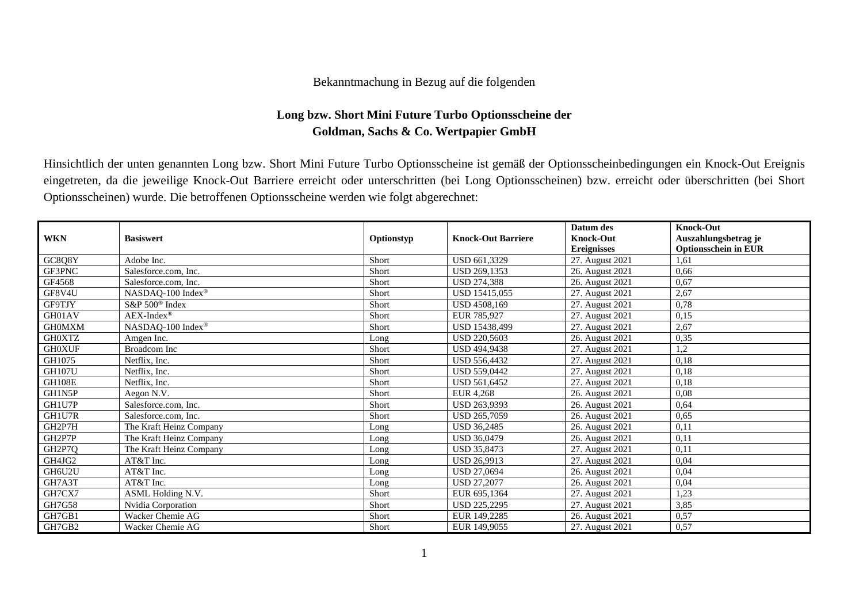## Bekanntmachung in Bezug auf die folgenden

## **Long bzw. Short Mini Future Turbo Optionsscheine der Goldman, Sachs & Co. Wertpapier GmbH**

Hinsichtlich der unten genannten Long bzw. Short Mini Future Turbo Optionsscheine ist gemäß der Optionsscheinbedingungen ein Knock-Out Ereignis eingetreten, da die jeweilige Knock-Out Barriere erreicht oder unterschritten (bei Long Optionsscheinen) bzw. erreicht oder überschritten (bei Short Optionsscheinen) wurde. Die betroffenen Optionsscheine werden wie folgt abgerechnet:

| <b>WKN</b>    | <b>Basiswert</b>                                                                      | Optionstyp | <b>Knock-Out Barriere</b> | Datum des<br><b>Knock-Out</b> | <b>Knock-Out</b><br>Auszahlungsbetrag je |
|---------------|---------------------------------------------------------------------------------------|------------|---------------------------|-------------------------------|------------------------------------------|
|               |                                                                                       |            |                           | <b>Ereignisses</b>            | <b>Optionsschein in EUR</b>              |
| GC8Q8Y        | Adobe Inc.                                                                            | Short      | USD 661,3329              | 27. August 2021               | 1.61                                     |
| GF3PNC        | Salesforce.com, Inc.                                                                  | Short      | USD 269,1353              | 26. August 2021               | 0,66                                     |
| GF4568        | Salesforce.com, Inc.                                                                  | Short      | <b>USD 274,388</b>        | 26. August 2021               | 0,67                                     |
| GF8V4U        | $\ensuremath{\mathsf{NASDAQ\text{-}100}}$ $\ensuremath{\mathsf{Index}}^{\circledast}$ | Short      | USD 15415,055             | 27. August 2021               | 2,67                                     |
| GF9TJY        | S&P 500 <sup>®</sup> Index                                                            | Short      | USD 4508,169              | 27. August 2021               | 0,78                                     |
| GH01AV        | $AEX-Index^{\circledR}$                                                               | Short      | EUR 785,927               | 27. August 2021               | 0,15                                     |
| <b>GHOMXM</b> | NASDAQ-100 Index®                                                                     | Short      | <b>USD 15438.499</b>      | 27. August 2021               | 2,67                                     |
| <b>GH0XTZ</b> | Amgen Inc.                                                                            | Long       | <b>USD 220,5603</b>       | 26. August 2021               | 0,35                                     |
| <b>GH0XUF</b> | <b>Broadcom</b> Inc                                                                   | Short      | <b>USD 494,9438</b>       | 27. August 2021               | 1,2                                      |
| GH1075        | Netflix, Inc.                                                                         | Short      | USD 556,4432              | 27. August 2021               | 0,18                                     |
| <b>GH107U</b> | Netflix, Inc.                                                                         | Short      | <b>USD 559,0442</b>       | 27. August 2021               | 0,18                                     |
| <b>GH108E</b> | Netflix, Inc.                                                                         | Short      | <b>USD 561,6452</b>       | 27. August 2021               | 0,18                                     |
| GH1N5P        | Aegon N.V.                                                                            | Short      | EUR 4.268                 | 26. August 2021               | 0,08                                     |
| GH1U7P        | Salesforce.com, Inc.                                                                  | Short      | USD 263,9393              | 26. August 2021               | 0.64                                     |
| GH1U7R        | Salesforce.com, Inc.                                                                  | Short      | USD 265,7059              | 26. August 2021               | 0.65                                     |
| GH2P7H        | The Kraft Heinz Company                                                               | Long       | <b>USD 36.2485</b>        | 26. August 2021               | 0,11                                     |
| GH2P7P        | The Kraft Heinz Company                                                               | Long       | <b>USD 36,0479</b>        | 26. August 2021               | 0,11                                     |
| GH2P7Q        | The Kraft Heinz Company                                                               | Long       | <b>USD 35,8473</b>        | 27. August 2021               | 0,11                                     |
| GH4JG2        | AT&T Inc.                                                                             | Long       | <b>USD 26.9913</b>        | 27. August 2021               | 0,04                                     |
| GH6U2U        | AT&T Inc.                                                                             | Long       | <b>USD 27,0694</b>        | 26. August 2021               | 0,04                                     |
| GH7A3T        | AT&T Inc.                                                                             | Long       | <b>USD 27.2077</b>        | 26. August 2021               | 0.04                                     |
| GH7CX7        | ASML Holding N.V.                                                                     | Short      | EUR 695,1364              | 27. August 2021               | 1,23                                     |
| GH7G58        | Nvidia Corporation                                                                    | Short      | USD 225,2295              | 27. August 2021               | 3,85                                     |
| GH7GB1        | Wacker Chemie AG                                                                      | Short      | EUR 149,2285              | 26. August 2021               | 0,57                                     |
| GH7GB2        | Wacker Chemie AG                                                                      | Short      | EUR 149,9055              | 27. August 2021               | 0,57                                     |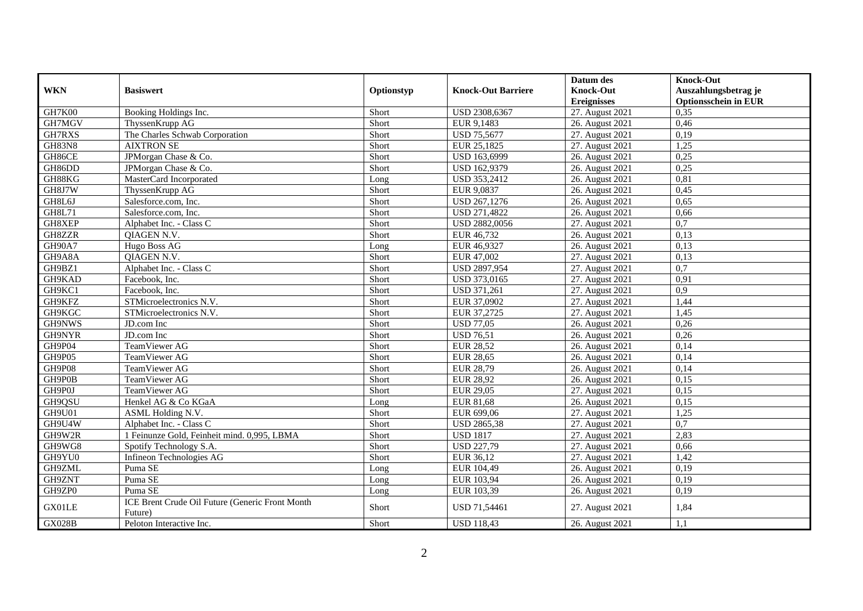|               |                                                            |            |                           | Datum des          | <b>Knock-Out</b>            |
|---------------|------------------------------------------------------------|------------|---------------------------|--------------------|-----------------------------|
| <b>WKN</b>    | <b>Basiswert</b>                                           | Optionstyp | <b>Knock-Out Barriere</b> | <b>Knock-Out</b>   | Auszahlungsbetrag je        |
|               |                                                            |            |                           | <b>Ereignisses</b> | <b>Optionsschein in EUR</b> |
| GH7K00        | Booking Holdings Inc.                                      | Short      | USD 2308,6367             | 27. August 2021    | 0,35                        |
| GH7MGV        | ThyssenKrupp AG                                            | Short      | EUR 9,1483                | 26. August 2021    | 0,46                        |
| GH7RXS        | The Charles Schwab Corporation                             | Short      | <b>USD 75,5677</b>        | 27. August 2021    | 0,19                        |
| <b>GH83N8</b> | <b>AIXTRON SE</b>                                          | Short      | EUR 25,1825               | 27. August 2021    | 1,25                        |
| GH86CE        | JPMorgan Chase & Co.                                       | Short      | USD 163,6999              | 26. August 2021    | 0,25                        |
| GH86DD        | JPMorgan Chase & Co.                                       | Short      | USD 162,9379              | 26. August 2021    | 0,25                        |
| GH88KG        | MasterCard Incorporated                                    | Long       | USD 353,2412              | 26. August 2021    | 0,81                        |
| GH8J7W        | ThyssenKrupp AG                                            | Short      | EUR 9,0837                | 26. August 2021    | 0,45                        |
| GH8L6J        | Salesforce.com, Inc.                                       | Short      | USD 267,1276              | 26. August 2021    | 0,65                        |
| GH8L71        | Salesforce.com, Inc.                                       | Short      | USD 271,4822              | 26. August 2021    | 0,66                        |
| GH8XEP        | Alphabet Inc. - Class C                                    | Short      | USD 2882,0056             | 27. August 2021    | 0,7                         |
| GH8ZZR        | <b>OIAGEN N.V.</b>                                         | Short      | EUR 46,732                | 26. August 2021    | 0,13                        |
| GH90A7        | Hugo Boss AG                                               | Long       | EUR 46,9327               | 26. August 2021    | 0,13                        |
| GH9A8A        | QIAGEN N.V.                                                | Short      | EUR 47,002                | 27. August 2021    | 0,13                        |
| GH9BZ1        | Alphabet Inc. - Class C                                    | Short      | <b>USD 2897,954</b>       | 27. August 2021    | 0,7                         |
| GH9KAD        | Facebook, Inc.                                             | Short      | USD 373,0165              | 27. August 2021    | 0,91                        |
| GH9KC1        | Facebook, Inc.                                             | Short      | <b>USD 371,261</b>        | 27. August 2021    | 0.9                         |
| GH9KFZ        | STMicroelectronics N.V.                                    | Short      | EUR 37,0902               | 27. August 2021    | 1,44                        |
| GH9KGC        | STMicroelectronics N.V.                                    | Short      | EUR 37,2725               | 27. August 2021    | 1,45                        |
| GH9NWS        | JD.com Inc                                                 | Short      | <b>USD 77,05</b>          | 26. August 2021    | 0,26                        |
| GH9NYR        | JD.com Inc                                                 | Short      | <b>USD 76,51</b>          | 26. August 2021    | 0,26                        |
| GH9P04        | TeamViewer AG                                              | Short      | <b>EUR 28,52</b>          | 26. August 2021    | 0,14                        |
| GH9P05        | TeamViewer AG                                              | Short      | <b>EUR 28,65</b>          | 26. August 2021    | 0,14                        |
| GH9P08        | TeamViewer AG                                              | Short      | <b>EUR 28,79</b>          | 26. August 2021    | 0,14                        |
| GH9P0B        | TeamViewer AG                                              | Short      | <b>EUR 28,92</b>          | 26. August 2021    | 0,15                        |
| GH9P0J        | TeamViewer AG                                              | Short      | <b>EUR 29,05</b>          | 27. August 2021    | 0,15                        |
| GH9QSU        | Henkel AG & Co KGaA                                        | Long       | EUR 81,68                 | 26. August 2021    | 0,15                        |
| GH9U01        | ASML Holding N.V.                                          | Short      | EUR 699,06                | 27. August 2021    | 1,25                        |
| GH9U4W        | Alphabet Inc. - Class C                                    | Short      | <b>USD 2865,38</b>        | 27. August 2021    | 0,7                         |
| GH9W2R        | 1 Feinunze Gold, Feinheit mind. 0,995, LBMA                | Short      | <b>USD 1817</b>           | 27. August 2021    | 2,83                        |
| GH9WG8        | Spotify Technology S.A.                                    | Short      | <b>USD 227,79</b>         | 27. August 2021    | 0,66                        |
| GH9YU0        | Infineon Technologies AG                                   | Short      | EUR 36,12                 | 27. August 2021    | 1,42                        |
| GH9ZML        | Puma SE                                                    | Long       | EUR 104,49                | 26. August 2021    | 0,19                        |
| GH9ZNT        | Puma SE                                                    | Long       | EUR 103,94                | 26. August 2021    | 0,19                        |
| GH9ZP0        | Puma SE                                                    | Long       | EUR 103,39                | 26. August 2021    | 0,19                        |
| GX01LE        | ICE Brent Crude Oil Future (Generic Front Month<br>Future) | Short      | USD 71,54461              | 27. August 2021    | 1,84                        |
| <b>GX028B</b> | Peloton Interactive Inc.                                   | Short      | <b>USD 118,43</b>         | 26. August 2021    | 1,1                         |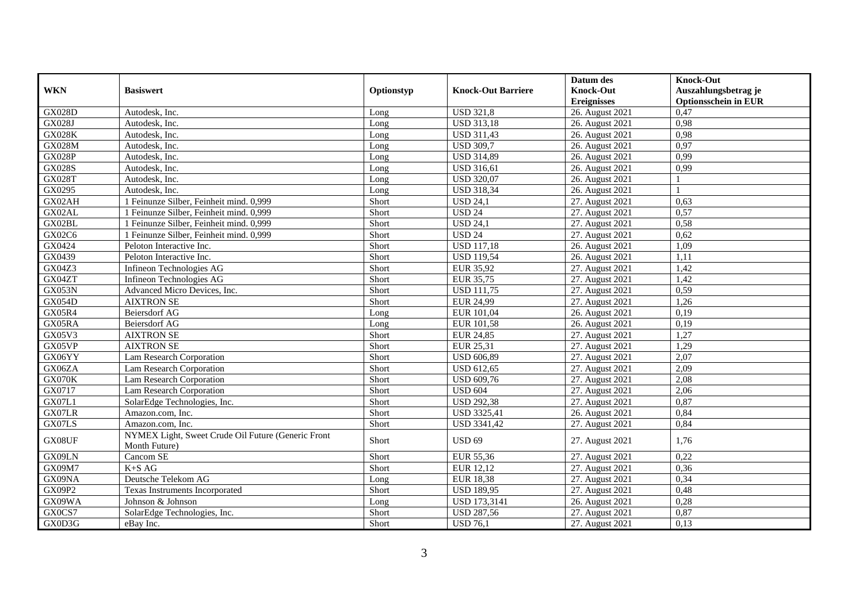|               |                                                                     |            |                           | Datum des          | <b>Knock-Out</b>            |
|---------------|---------------------------------------------------------------------|------------|---------------------------|--------------------|-----------------------------|
| <b>WKN</b>    | <b>Basiswert</b>                                                    | Optionstyp | <b>Knock-Out Barriere</b> | <b>Knock-Out</b>   | Auszahlungsbetrag je        |
|               |                                                                     |            |                           | <b>Ereignisses</b> | <b>Optionsschein in EUR</b> |
| <b>GX028D</b> | Autodesk, Inc.                                                      | Long       | <b>USD 321,8</b>          | 26. August 2021    | 0,47                        |
| GX028J        | Autodesk. Inc.                                                      | Long       | <b>USD 313,18</b>         | 26. August 2021    | 0,98                        |
| <b>GX028K</b> | Autodesk, Inc.                                                      | Long       | <b>USD 311,43</b>         | 26. August 2021    | 0,98                        |
| GX028M        | Autodesk, Inc.                                                      | Long       | <b>USD 309,7</b>          | 26. August 2021    | 0,97                        |
| <b>GX028P</b> | Autodesk, Inc.                                                      | Long       | <b>USD 314,89</b>         | 26. August 2021    | 0,99                        |
| <b>GX028S</b> | Autodesk, Inc.                                                      | Long       | <b>USD 316,61</b>         | 26. August 2021    | 0.99                        |
| <b>GX028T</b> | Autodesk, Inc.                                                      | Long       | <b>USD 320,07</b>         | 26. August 2021    |                             |
| GX0295        | Autodesk, Inc.                                                      | Long       | <b>USD 318,34</b>         | 26. August 2021    |                             |
| GX02AH        | 1 Feinunze Silber, Feinheit mind. 0,999                             | Short      | <b>USD 24,1</b>           | 27. August 2021    | 0,63                        |
| GX02AL        | 1 Feinunze Silber, Feinheit mind. 0,999                             | Short      | <b>USD 24</b>             | 27. August 2021    | 0,57                        |
| GX02BL        | 1 Feinunze Silber, Feinheit mind. 0,999                             | Short      | <b>USD 24,1</b>           | 27. August 2021    | 0,58                        |
| GX02C6        | 1 Feinunze Silber, Feinheit mind. 0,999                             | Short      | <b>USD 24</b>             | 27. August 2021    | 0,62                        |
| GX0424        | Peloton Interactive Inc.                                            | Short      | <b>USD</b> 117,18         | 26. August 2021    | 1,09                        |
| GX0439        | Peloton Interactive Inc.                                            | Short      | <b>USD 119,54</b>         | 26. August 2021    | 1,11                        |
| GX04Z3        | Infineon Technologies AG                                            | Short      | EUR 35,92                 | 27. August 2021    | 1,42                        |
| GX04ZT        | Infineon Technologies AG                                            | Short      | EUR 35,75                 | 27. August 2021    | 1,42                        |
| <b>GX053N</b> | Advanced Micro Devices, Inc.                                        | Short      | <b>USD 111,75</b>         | 27. August 2021    | 0,59                        |
| <b>GX054D</b> | <b>AIXTRON SE</b>                                                   | Short      | <b>EUR 24,99</b>          | 27. August 2021    | 1,26                        |
| GX05R4        | <b>Beiersdorf AG</b>                                                | Long       | EUR 101,04                | 26. August 2021    | 0,19                        |
| GX05RA        | Beiersdorf AG                                                       | Long       | EUR 101,58                | 26. August $2021$  | 0,19                        |
| GX05V3        | <b>AIXTRON SE</b>                                                   | Short      | <b>EUR 24,85</b>          | 27. August 2021    | 1,27                        |
| GX05VP        | <b>AIXTRON SE</b>                                                   | Short      | EUR 25,31                 | 27. August 2021    | 1,29                        |
| GX06YY        | Lam Research Corporation                                            | Short      | <b>USD 606,89</b>         | 27. August 2021    | 2,07                        |
| GX06ZA        | Lam Research Corporation                                            | Short      | <b>USD 612,65</b>         | 27. August 2021    | 2,09                        |
| GX070K        | Lam Research Corporation                                            | Short      | <b>USD 609,76</b>         | 27. August 2021    | 2,08                        |
| GX0717        | Lam Research Corporation                                            | Short      | <b>USD 604</b>            | 27. August 2021    | 2,06                        |
| GX07L1        | SolarEdge Technologies, Inc.                                        | Short      | <b>USD 292,38</b>         | 27. August 2021    | 0,87                        |
| GX07LR        | Amazon.com. Inc.                                                    | Short      | <b>USD 3325,41</b>        | 26. August 2021    | 0,84                        |
| GX07LS        | Amazon.com, Inc.                                                    | Short      | USD 3341,42               | 27. August 2021    | 0,84                        |
| GX08UF        | NYMEX Light, Sweet Crude Oil Future (Generic Front<br>Month Future) | Short      | <b>USD 69</b>             | 27. August 2021    | 1,76                        |
| GX09LN        | Cancom SE                                                           | Short      | EUR 55,36                 | 27. August 2021    | 0,22                        |
| GX09M7        | $K+SAG$                                                             | Short      | EUR 12,12                 | 27. August 2021    | 0,36                        |
| GX09NA        | Deutsche Telekom AG                                                 | Long       | <b>EUR 18,38</b>          | 27. August 2021    | 0,34                        |
| GX09P2        | Texas Instruments Incorporated                                      | Short      | <b>USD 189,95</b>         | 27. August 2021    | 0,48                        |
| GX09WA        | Johnson & Johnson                                                   | Long       | <b>USD 173,3141</b>       | 26. August $2021$  | 0,28                        |
| GX0CS7        | SolarEdge Technologies, Inc.                                        | Short      | <b>USD 287,56</b>         | 27. August 2021    | 0,87                        |
| GX0D3G        | eBay Inc.                                                           | Short      | <b>USD 76,1</b>           | 27. August 2021    | 0,13                        |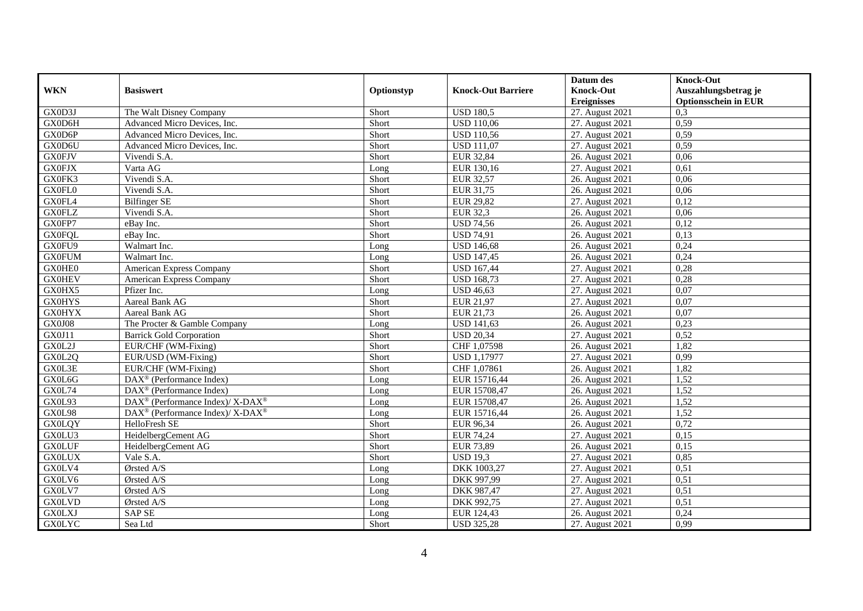|               |                                                          |            |                           | Datum des          | <b>Knock-Out</b>            |
|---------------|----------------------------------------------------------|------------|---------------------------|--------------------|-----------------------------|
| <b>WKN</b>    | <b>Basiswert</b>                                         | Optionstyp | <b>Knock-Out Barriere</b> | <b>Knock-Out</b>   | Auszahlungsbetrag je        |
|               |                                                          |            |                           | <b>Ereignisses</b> | <b>Optionsschein in EUR</b> |
| GX0D3J        | The Walt Disney Company                                  | Short      | <b>USD 180,5</b>          | 27. August 2021    | 0,3                         |
| GX0D6H        | Advanced Micro Devices, Inc.                             | Short      | <b>USD 110,06</b>         | 27. August 2021    | 0,59                        |
| GX0D6P        | Advanced Micro Devices, Inc.                             | Short      | <b>USD 110,56</b>         | 27. August 2021    | 0,59                        |
| GX0D6U        | Advanced Micro Devices, Inc.                             | Short      | <b>USD 111,07</b>         | 27. August 2021    | 0,59                        |
| <b>GX0FJV</b> | Vivendi S.A.                                             | Short      | <b>EUR 32,84</b>          | 26. August 2021    | 0,06                        |
| <b>GX0FJX</b> | Varta AG                                                 | Long       | EUR 130,16                | 27. August 2021    | 0.61                        |
| GX0FK3        | Vivendi S.A.                                             | Short      | EUR 32,57                 | 26. August 2021    | 0,06                        |
| GX0FL0        | Vivendi S.A.                                             | Short      | EUR 31,75                 | 26. August 2021    | 0.06                        |
| GX0FL4        | <b>Bilfinger SE</b>                                      | Short      | <b>EUR 29,82</b>          | 27. August 2021    | 0,12                        |
| <b>GX0FLZ</b> | Vivendi S.A.                                             | Short      | <b>EUR 32,3</b>           | 26. August 2021    | 0,06                        |
| GX0FP7        | eBay Inc.                                                | Short      | <b>USD 74,56</b>          | 26. August 2021    | 0,12                        |
| <b>GX0FQL</b> | eBay Inc.                                                | Short      | <b>USD 74,91</b>          | 26. August 2021    | 0,13                        |
| GX0FU9        | Walmart Inc.                                             | Long       | <b>USD 146,68</b>         | 26. August 2021    | 0,24                        |
| <b>GX0FUM</b> | Walmart Inc.                                             | Long       | <b>USD 147,45</b>         | 26. August 2021    | 0,24                        |
| GX0HE0        | <b>American Express Company</b>                          | Short      | <b>USD 167,44</b>         | 27. August 2021    | 0,28                        |
| <b>GX0HEV</b> | American Express Company                                 | Short      | <b>USD 168,73</b>         | 27. August 2021    | 0,28                        |
| GX0HX5        | Pfizer Inc.                                              | Long       | <b>USD 46,63</b>          | 27. August 2021    | 0.07                        |
| <b>GX0HYS</b> | Aareal Bank AG                                           | Short      | EUR 21,97                 | 27. August 2021    | 0,07                        |
| <b>GX0HYX</b> | Aareal Bank AG                                           | Short      | EUR 21,73                 | 26. August 2021    | 0,07                        |
| <b>GX0J08</b> | The Procter & Gamble Company                             | Long       | <b>USD 141,63</b>         | 26. August 2021    | 0,23                        |
| GX0J11        | <b>Barrick Gold Corporation</b>                          | Short      | <b>USD 20,34</b>          | 27. August 2021    | 0,52                        |
| GX0L2J        | EUR/CHF (WM-Fixing)                                      | Short      | CHF 1,07598               | 26. August 2021    | 1,82                        |
| GX0L2Q        | EUR/USD (WM-Fixing)                                      | Short      | <b>USD 1,17977</b>        | 27. August 2021    | 0,99                        |
| GX0L3E        | EUR/CHF (WM-Fixing)                                      | Short      | CHF 1,07861               | 26. August 2021    | 1,82                        |
| GX0L6G        | $\overline{\text{DAX}^{\otimes}}$ (Performance Index)    | Long       | EUR 15716,44              | 26. August 2021    | 1,52                        |
| GX0L74        | DAX <sup>®</sup> (Performance Index)                     | Long       | EUR 15708,47              | 26. August 2021    | 1,52                        |
| GX0L93        | DAX <sup>®</sup> (Performance Index)/ X-DAX <sup>®</sup> | Long       | EUR 15708,47              | 26. August 2021    | 1,52                        |
| GX0L98        | DAX <sup>®</sup> (Performance Index)/ X-DAX <sup>®</sup> | Long       | EUR 15716,44              | 26. August 2021    | 1,52                        |
| <b>GX0LQY</b> | HelloFresh SE                                            | Short      | EUR 96,34                 | 26. August 2021    | 0,72                        |
| GX0LU3        | HeidelbergCement AG                                      | Short      | EUR 74.24                 | 27. August 2021    | 0,15                        |
| <b>GX0LUF</b> | HeidelbergCement AG                                      | Short      | <b>EUR 73,89</b>          | 26. August 2021    | 0,15                        |
| <b>GX0LUX</b> | Vale S.A.                                                | Short      | <b>USD 19,3</b>           | 27. August 2021    | 0,85                        |
| GX0LV4        | Ørsted A/S                                               | Long       | DKK 1003,27               | 27. August 2021    | 0,51                        |
| GX0LV6        | Ørsted A/S                                               | Long       | DKK 997,99                | 27. August 2021    | 0,51                        |
| GX0LV7        | Ørsted A/S                                               | Long       | DKK 987,47                | 27. August 2021    | 0,51                        |
| <b>GX0LVD</b> | Ørsted A/S                                               | Long       | DKK 992,75                | 27. August 2021    | 0,51                        |
| <b>GX0LXJ</b> | <b>SAP SE</b>                                            | Long       | EUR 124,43                | 26. August 2021    | 0,24                        |
| <b>GX0LYC</b> | Sea Ltd                                                  | Short      | <b>USD 325,28</b>         | 27. August 2021    | 0,99                        |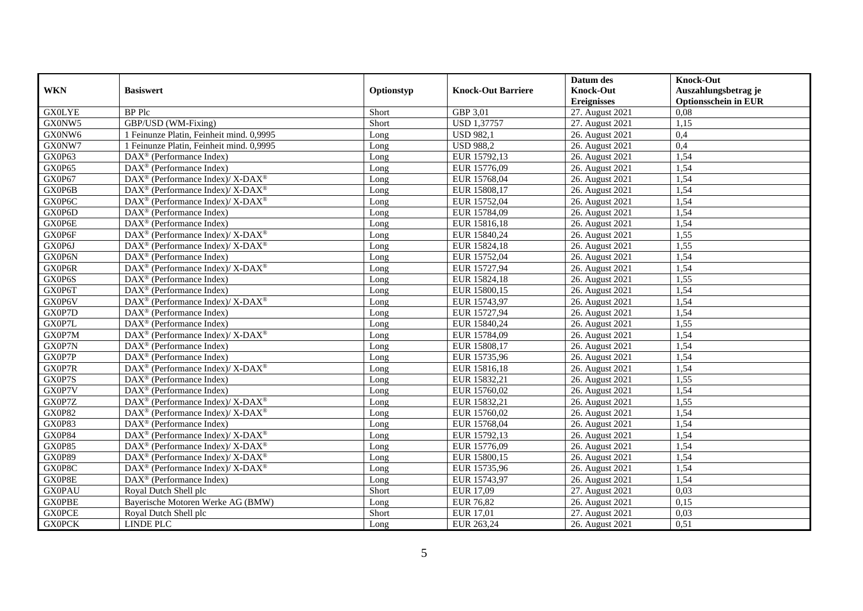|               |                                                                               |            |                           | Datum des          | <b>Knock-Out</b>            |
|---------------|-------------------------------------------------------------------------------|------------|---------------------------|--------------------|-----------------------------|
| <b>WKN</b>    | <b>Basiswert</b>                                                              | Optionstyp | <b>Knock-Out Barriere</b> | <b>Knock-Out</b>   | Auszahlungsbetrag je        |
|               |                                                                               |            |                           | <b>Ereignisses</b> | <b>Optionsschein in EUR</b> |
| <b>GX0LYE</b> | <b>BP</b> Plc                                                                 | Short      | GBP 3,01                  | 27. August 2021    | 0.08                        |
| GX0NW5        | GBP/USD (WM-Fixing)                                                           | Short      | <b>USD 1,37757</b>        | 27. August 2021    | 1,15                        |
| GX0NW6        | 1 Feinunze Platin, Feinheit mind. 0,9995                                      | Long       | <b>USD 982,1</b>          | 26. August 2021    | 0,4                         |
| GX0NW7        | 1 Feinunze Platin, Feinheit mind. 0,9995                                      | Long       | <b>USD 988,2</b>          | 26. August 2021    | 0,4                         |
| GX0P63        | DAX <sup>®</sup> (Performance Index)                                          | Long       | EUR 15792,13              | 26. August 2021    | 1,54                        |
| GX0P65        | DAX <sup>®</sup> (Performance Index)                                          | Long       | EUR 15776,09              | 26. August 2021    | 1,54                        |
| GX0P67        | $\text{DAX}^{\circledast}$ (Performance Index)/X-DAX <sup>®</sup>             | Long       | EUR 15768,04              | 26. August 2021    | 1,54                        |
| GX0P6B        | $DAX^{\circledast}$ (Performance Index)/ X-DAX <sup>®</sup>                   | Long       | EUR 15808,17              | 26. August 2021    | 1,54                        |
| GX0P6C        | $DAX^{\circledcirc}$ (Performance Index)/X-DAX <sup>®</sup>                   | Long       | EUR 15752,04              | 26. August 2021    | 1,54                        |
| GX0P6D        | $\text{DAX}^{\textcircled{p}}$ (Performance Index)                            | Long       | EUR 15784,09              | 26. August 2021    | 1,54                        |
| GX0P6E        | DAX <sup>®</sup> (Performance Index)                                          | Long       | EUR 15816,18              | 26. August 2021    | 1,54                        |
| GX0P6F        | $\text{DAX}^{\circledR}$ (Performance Index)/ X-DAX <sup>®</sup>              | Long       | EUR 15840,24              | 26. August 2021    | 1,55                        |
| GX0P6J        | DAX <sup>®</sup> (Performance Index)/ X-DAX <sup>®</sup>                      | Long       | EUR 15824,18              | 26. August 2021    | 1,55                        |
| GX0P6N        | $\text{DAX}^{\circledast}$ (Performance Index)                                | Long       | EUR 15752,04              | 26. August 2021    | 1,54                        |
| GX0P6R        | DAX <sup>®</sup> (Performance Index)/ X-DAX <sup>®</sup>                      | Long       | EUR 15727,94              | 26. August 2021    | 1,54                        |
| GX0P6S        | DAX <sup>®</sup> (Performance Index)                                          | Long       | EUR 15824,18              | 26. August 2021    | 1,55                        |
| GX0P6T        | DAX <sup>®</sup> (Performance Index)                                          | Long       | EUR 15800,15              | 26. August 2021    | 1,54                        |
| GX0P6V        | $DAX^{\circledcirc}$ (Performance Index)/X-DAX <sup>®</sup>                   | Long       | EUR 15743.97              | 26. August 2021    | 1,54                        |
| GX0P7D        | $DAX^{\circledR}$ (Performance Index)                                         | Long       | EUR 15727,94              | 26. August 2021    | 1,54                        |
| GX0P7L        | $\overline{\text{DAX}^{\otimes}}$ (Performance Index)                         | Long       | EUR 15840,24              | 26. August 2021    | 1,55                        |
| GX0P7M        | DAX <sup>®</sup> (Performance Index)/ X-DAX <sup>®</sup>                      | Long       | EUR 15784,09              | 26. August 2021    | 1,54                        |
| GX0P7N        | $DAX^{\circledR}$ (Performance Index)                                         | Long       | EUR 15808,17              | 26. August 2021    | 1,54                        |
| GX0P7P        | $\overline{\text{DAX}^{\otimes}}$ (Performance Index)                         | Long       | EUR 15735,96              | 26. August 2021    | 1,54                        |
| GX0P7R        | DAX <sup>®</sup> (Performance Index)/ X-DAX <sup>®</sup>                      | Long       | EUR 15816,18              | 26. August 2021    | 1,54                        |
| GX0P7S        | $\text{DAX}^{\circledcirc}$ (Performance Index)                               | Long       | EUR 15832,21              | 26. August 2021    | 1,55                        |
| GX0P7V        | DAX <sup>®</sup> (Performance Index)                                          | Long       | EUR 15760,02              | 26. August 2021    | 1,54                        |
| GX0P7Z        | $\text{DAX}^{\otimes}$ (Performance Index)/X-DAX <sup>®</sup>                 | Long       | EUR 15832,21              | 26. August 2021    | 1,55                        |
| GX0P82        | $\text{DAX}^{\otimes}$ (Performance Index)/X-DAX <sup>®</sup>                 | Long       | EUR 15760,02              | 26. August 2021    | 1,54                        |
| GX0P83        | $DAX^{\circledR}$ (Performance Index)                                         | Long       | EUR 15768,04              | 26. August 2021    | 1,54                        |
| GX0P84        | $DAX^{\circledast}$ (Performance Index)/ $X$ - $\overline{DAX^{\circledast}}$ | Long       | EUR 15792,13              | 26. August 2021    | 1,54                        |
| GX0P85        | DAX <sup>®</sup> (Performance Index)/ X-DAX <sup>®</sup>                      | Long       | EUR 15776,09              | 26. August 2021    | 1,54                        |
| GX0P89        | DAX <sup>®</sup> (Performance Index)/X-DAX <sup>®</sup>                       | Long       | EUR 15800,15              | 26. August 2021    | 1,54                        |
| GX0P8C        | DAX <sup>®</sup> (Performance Index)/ X-DAX <sup>®</sup>                      | Long       | EUR 15735,96              | 26. August 2021    | 1,54                        |
| GX0P8E        | DAX <sup>®</sup> (Performance Index)                                          | Long       | EUR 15743,97              | 26. August 2021    | 1,54                        |
| <b>GX0PAU</b> | Royal Dutch Shell plc                                                         | Short      | EUR 17,09                 | 27. August 2021    | 0,03                        |
| <b>GX0PBE</b> | Bayerische Motoren Werke AG (BMW)                                             | Long       | <b>EUR 76,82</b>          | 26. August 2021    | 0,15                        |
| <b>GX0PCE</b> | Royal Dutch Shell plc                                                         | Short      | EUR 17,01                 | 27. August 2021    | 0,03                        |
| <b>GX0PCK</b> | LINDE PLC                                                                     | Long       | EUR 263,24                | 26. August 2021    | 0,51                        |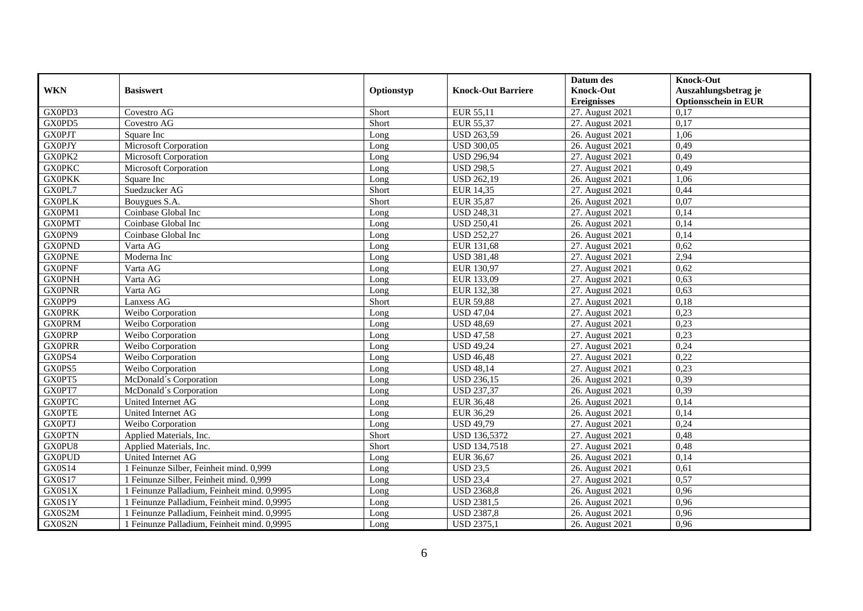|               |                                             |            |                           | Datum des          | <b>Knock-Out</b>            |
|---------------|---------------------------------------------|------------|---------------------------|--------------------|-----------------------------|
| <b>WKN</b>    | <b>Basiswert</b>                            | Optionstyp | <b>Knock-Out Barriere</b> | <b>Knock-Out</b>   | Auszahlungsbetrag je        |
|               |                                             |            |                           | <b>Ereignisses</b> | <b>Optionsschein in EUR</b> |
| GX0PD3        | Covestro AG                                 | Short      | EUR 55,11                 | 27. August 2021    | 0,17                        |
| GX0PD5        | Covestro AG                                 | Short      | <b>EUR 55,37</b>          | 27. August 2021    | 0,17                        |
| <b>GX0PJT</b> | Square Inc                                  | Long       | <b>USD 263,59</b>         | 26. August 2021    | 1,06                        |
| <b>GX0PJY</b> | Microsoft Corporation                       | Long       | <b>USD 300,05</b>         | 26. August 2021    | 0,49                        |
| GX0PK2        | Microsoft Corporation                       | Long       | <b>USD 296,94</b>         | 27. August 2021    | 0,49                        |
| <b>GX0PKC</b> | Microsoft Corporation                       | Long       | <b>USD 298,5</b>          | 27. August 2021    | 0,49                        |
| <b>GX0PKK</b> | Square Inc                                  | Long       | <b>USD 262,19</b>         | 26. August 2021    | 1,06                        |
| GX0PL7        | Suedzucker AG                               | Short      | <b>EUR 14,35</b>          | 27. August 2021    | 0,44                        |
| <b>GXOPLK</b> | Bouvgues S.A.                               | Short      | <b>EUR 35,87</b>          | 26. August 2021    | 0,07                        |
| GX0PM1        | Coinbase Global Inc                         | Long       | <b>USD 248,31</b>         | 27. August 2021    | 0,14                        |
| <b>GX0PMT</b> | Coinbase Global Inc                         | Long       | <b>USD 250,41</b>         | 26. August 2021    | 0,14                        |
| GX0PN9        | Coinbase Global Inc                         | Long       | <b>USD 252,27</b>         | 26. August 2021    | 0,14                        |
| <b>GX0PND</b> | Varta AG                                    | Long       | EUR 131,68                | 27. August 2021    | 0,62                        |
| <b>GX0PNE</b> | Moderna Inc                                 | Long       | <b>USD 381,48</b>         | 27. August 2021    | 2,94                        |
| <b>GX0PNF</b> | Varta AG                                    | Long       | EUR 130,97                | 27. August 2021    | 0,62                        |
| <b>GX0PNH</b> | Varta AG                                    | Long       | EUR 133,09                | 27. August 2021    | 0,63                        |
| <b>GX0PNR</b> | Varta AG                                    | Long       | EUR 132,38                | 27. August 2021    | 0,63                        |
| GX0PP9        | Lanxess AG                                  | Short      | <b>EUR 59.88</b>          | 27. August 2021    | 0.18                        |
| <b>GX0PRK</b> | Weibo Corporation                           | Long       | <b>USD 47,04</b>          | 27. August 2021    | 0,23                        |
| <b>GX0PRM</b> | Weibo Corporation                           | Long       | <b>USD 48,69</b>          | 27. August 2021    | 0,23                        |
| <b>GX0PRP</b> | Weibo Corporation                           | Long       | <b>USD 47,58</b>          | 27. August 2021    | 0,23                        |
| <b>GXOPRR</b> | Weibo Corporation                           | Long       | <b>USD 49,24</b>          | 27. August 2021    | 0,24                        |
| GX0PS4        | Weibo Corporation                           | Long       | <b>USD 46,48</b>          | 27. August 2021    | 0,22                        |
| GX0PS5        | Weibo Corporation                           | Long       | <b>USD 48,14</b>          | 27. August 2021    | 0,23                        |
| GX0PT5        | McDonald's Corporation                      | Long       | <b>USD 236,15</b>         | 26. August 2021    | 0,39                        |
| GX0PT7        | McDonald's Corporation                      | Long       | <b>USD 237,37</b>         | 26. August 2021    | 0,39                        |
| <b>GXOPTC</b> | United Internet AG                          | Long       | <b>EUR 36,48</b>          | 26. August 2021    | 0,14                        |
| <b>GX0PTE</b> | United Internet AG                          | Long       | EUR 36,29                 | 26. August 2021    | 0,14                        |
| <b>GX0PTJ</b> | Weibo Corporation                           | Long       | <b>USD 49,79</b>          | 27. August 2021    | 0,24                        |
| <b>GX0PTN</b> | Applied Materials, Inc.                     | Short      | <b>USD 136,5372</b>       | 27. August 2021    | 0,48                        |
| GX0PU8        | Applied Materials, Inc.                     | Short      | <b>USD 134,7518</b>       | 27. August 2021    | 0,48                        |
| <b>GX0PUD</b> | United Internet AG                          | Long       | EUR 36,67                 | 26. August 2021    | 0,14                        |
| GX0S14        | 1 Feinunze Silber, Feinheit mind. 0,999     | Long       | <b>USD 23,5</b>           | 26. August 2021    | 0.61                        |
| <b>GX0S17</b> | 1 Feinunze Silber, Feinheit mind. 0,999     | Long       | <b>USD 23,4</b>           | 27. August 2021    | 0,57                        |
| GX0S1X        | 1 Feinunze Palladium, Feinheit mind. 0,9995 | Long       | <b>USD 2368,8</b>         | 26. August 2021    | 0,96                        |
| GX0S1Y        | 1 Feinunze Palladium, Feinheit mind. 0,9995 | Long       | <b>USD 2381,5</b>         | 26. August 2021    | 0,96                        |
| GX0S2M        | 1 Feinunze Palladium, Feinheit mind. 0,9995 | Long       | <b>USD 2387,8</b>         | 26. August 2021    | 0,96                        |
| GX0S2N        | 1 Feinunze Palladium, Feinheit mind. 0,9995 | Long       | <b>USD 2375,1</b>         | 26. August 2021    | 0,96                        |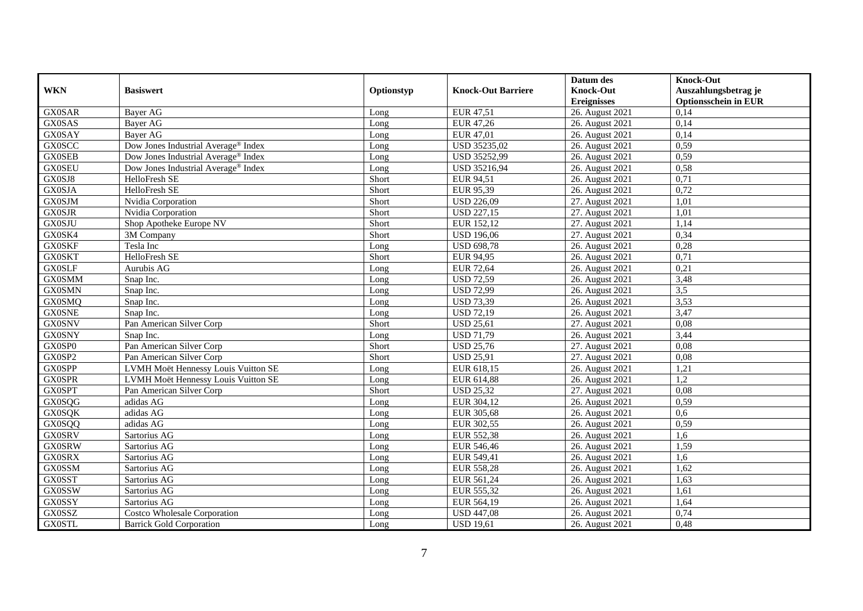|               |                                                 |            |                           | Datum des          | <b>Knock-Out</b>            |
|---------------|-------------------------------------------------|------------|---------------------------|--------------------|-----------------------------|
| <b>WKN</b>    | <b>Basiswert</b>                                | Optionstyp | <b>Knock-Out Barriere</b> | <b>Knock-Out</b>   | Auszahlungsbetrag je        |
|               |                                                 |            |                           | <b>Ereignisses</b> | <b>Optionsschein in EUR</b> |
| <b>GX0SAR</b> | Bayer AG                                        | Long       | EUR 47,51                 | 26. August 2021    | 0,14                        |
| <b>GX0SAS</b> | Bayer AG                                        | Long       | EUR 47,26                 | 26. August 2021    | 0,14                        |
| <b>GX0SAY</b> | Bayer AG                                        | Long       | EUR 47,01                 | 26. August 2021    | 0,14                        |
| <b>GX0SCC</b> | Dow Jones Industrial Average <sup>®</sup> Index | Long       | USD 35235,02              | 26. August 2021    | 0,59                        |
| <b>GX0SEB</b> | Dow Jones Industrial Average® Index             | Long       | USD 35252,99              | 26. August 2021    | 0,59                        |
| <b>GX0SEU</b> | Dow Jones Industrial Average® Index             | Long       | USD 35216,94              | 26. August 2021    | 0,58                        |
| GX0SJ8        | HelloFresh SE                                   | Short      | EUR 94,51                 | 26. August 2021    | 0,71                        |
| <b>GX0SJA</b> | HelloFresh SE                                   | Short      | EUR 95,39                 | 26. August 2021    | 0,72                        |
| <b>GX0SJM</b> | Nvidia Corporation                              | Short      | <b>USD 226,09</b>         | 27. August 2021    | 1,01                        |
| <b>GX0SJR</b> | Nvidia Corporation                              | Short      | <b>USD 227,15</b>         | 27. August 2021    | 1,01                        |
| <b>GX0SJU</b> | Shop Apotheke Europe NV                         | Short      | EUR 152,12                | 27. August 2021    | 1,14                        |
| GX0SK4        | 3M Company                                      | Short      | <b>USD 196,06</b>         | 27. August 2021    | 0,34                        |
| <b>GX0SKF</b> | Tesla Inc                                       | Long       | <b>USD 698,78</b>         | 26. August 2021    | 0,28                        |
| <b>GX0SKT</b> | HelloFresh SE                                   | Short      | EUR 94,95                 | 26. August 2021    | 0,71                        |
| <b>GX0SLF</b> | Aurubis AG                                      | Long       | <b>EUR 72,64</b>          | 26. August 2021    | 0,21                        |
| <b>GX0SMM</b> | Snap Inc.                                       | Long       | <b>USD 72,59</b>          | 26. August 2021    | 3,48                        |
| <b>GX0SMN</b> | Snap Inc.                                       | Long       | <b>USD 72,99</b>          | 26. August 2021    | $\overline{3,5}$            |
| <b>GX0SMQ</b> | Snap Inc.                                       | Long       | <b>USD 73,39</b>          | 26. August 2021    | 3,53                        |
| <b>GX0SNE</b> | Snap Inc.                                       | Long       | <b>USD 72,19</b>          | 26. August 2021    | 3,47                        |
| <b>GX0SNV</b> | Pan American Silver Corp                        | Short      | <b>USD 25,61</b>          | 27. August 2021    | 0,08                        |
| <b>GX0SNY</b> | Snap Inc.                                       | Long       | <b>USD 71,79</b>          | 26. August 2021    | 3,44                        |
| GX0SP0        | Pan American Silver Corp                        | Short      | <b>USD 25,76</b>          | 27. August 2021    | 0.08                        |
| GX0SP2        | Pan American Silver Corp                        | Short      | <b>USD 25,91</b>          | 27. August 2021    | 0,08                        |
| <b>GX0SPP</b> | LVMH Moët Hennessy Louis Vuitton SE             | Long       | EUR 618,15                | 26. August 2021    | 1,21                        |
| <b>GX0SPR</b> | LVMH Moët Hennessy Louis Vuitton SE             | Long       | EUR 614,88                | 26. August 2021    | 1,2                         |
| <b>GX0SPT</b> | Pan American Silver Corp                        | Short      | <b>USD 25,32</b>          | 27. August 2021    | 0.08                        |
| <b>GX0SQG</b> | adidas AG                                       | Long       | EUR 304,12                | 26. August 2021    | 0,59                        |
| <b>GX0SQK</b> | adidas AG                                       | Long       | EUR 305,68                | 26. August 2021    | 0,6                         |
| <b>GX0SQQ</b> | adidas AG                                       | Long       | EUR 302,55                | 26. August 2021    | 0,59                        |
| <b>GX0SRV</b> | Sartorius AG                                    | Long       | <b>EUR 552,38</b>         | 26. August 2021    | 1.6                         |
| <b>GX0SRW</b> | Sartorius AG                                    | Long       | EUR 546,46                | 26. August 2021    | 1,59                        |
| <b>GX0SRX</b> | Sartorius AG                                    | Long       | EUR 549,41                | 26. August 2021    | 1,6                         |
| <b>GX0SSM</b> | Sartorius AG                                    | Long       | <b>EUR 558,28</b>         | 26. August 2021    | 1,62                        |
| <b>GX0SST</b> | Sartorius AG                                    | Long       | EUR 561,24                | 26. August 2021    | 1,63                        |
| <b>GX0SSW</b> | Sartorius AG                                    | Long       | EUR 555,32                | 26. August 2021    | 1,61                        |
| <b>GX0SSY</b> | Sartorius AG                                    | Long       | EUR 564,19                | 26. August 2021    | 1,64                        |
| GX0SSZ        | <b>Costco Wholesale Corporation</b>             | Long       | <b>USD 447,08</b>         | 26. August 2021    | 0,74                        |
| <b>GX0STL</b> | <b>Barrick Gold Corporation</b>                 | Long       | <b>USD 19,61</b>          | 26. August 2021    | 0,48                        |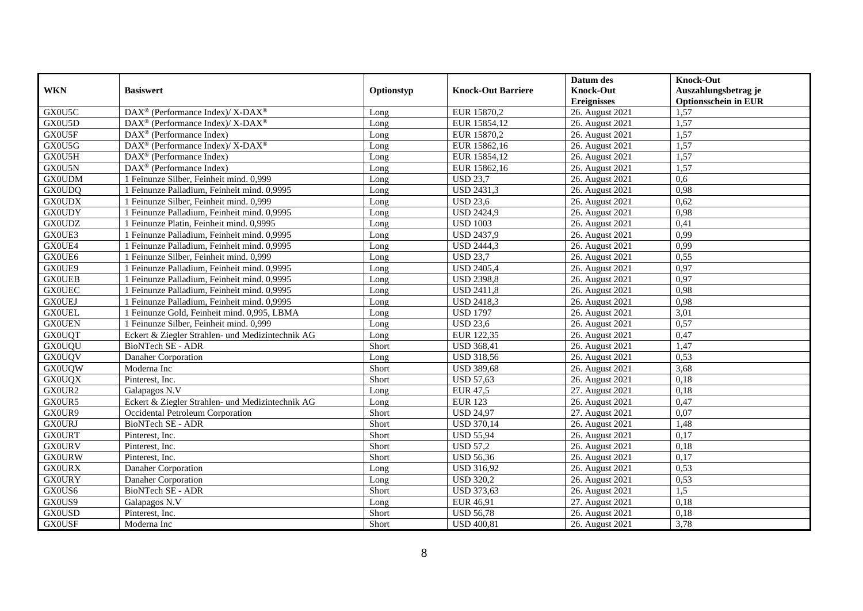|               |                                                          |            |                           | Datum des          | <b>Knock-Out</b>            |
|---------------|----------------------------------------------------------|------------|---------------------------|--------------------|-----------------------------|
| <b>WKN</b>    | <b>Basiswert</b>                                         | Optionstyp | <b>Knock-Out Barriere</b> | <b>Knock-Out</b>   | Auszahlungsbetrag je        |
|               |                                                          |            |                           | <b>Ereignisses</b> | <b>Optionsschein in EUR</b> |
| GX0U5C        | DAX <sup>®</sup> (Performance Index)/ X-DAX <sup>®</sup> | Long       | EUR 15870,2               | 26. August 2021    | 1,57                        |
| GX0U5D        | DAX <sup>®</sup> (Performance Index)/ X-DAX <sup>®</sup> | Long       | EUR 15854,12              | 26. August 2021    | 1,57                        |
| GX0U5F        | $\text{DAX}^{\textcircled{}}$ (Performance Index)        | Long       | EUR 15870,2               | 26. August 2021    | 1,57                        |
| GX0U5G        | DAX <sup>®</sup> (Performance Index)/ X-DAX <sup>®</sup> | Long       | EUR 15862,16              | 26. August 2021    | 1,57                        |
| GX0U5H        | $\text{DAX}^{\textcircled{}}$ (Performance Index)        | Long       | EUR 15854,12              | 26. August 2021    | 1,57                        |
| GX0U5N        | DAX <sup>®</sup> (Performance Index)                     | Long       | EUR 15862,16              | 26. August 2021    | 1,57                        |
| <b>GX0UDM</b> | 1 Feinunze Silber, Feinheit mind. 0,999                  | Long       | <b>USD 23,7</b>           | 26. August 2021    | 0.6                         |
| <b>GX0UDQ</b> | 1 Feinunze Palladium. Feinheit mind. 0.9995              | Long       | USD 2431,3                | 26. August 2021    | 0,98                        |
| <b>GX0UDX</b> | 1 Feinunze Silber, Feinheit mind. 0,999                  | Long       | <b>USD 23,6</b>           | 26. August 2021    | 0,62                        |
| <b>GX0UDY</b> | 1 Feinunze Palladium, Feinheit mind. 0,9995              | Long       | <b>USD 2424,9</b>         | 26. August 2021    | 0.98                        |
| <b>GX0UDZ</b> | 1 Feinunze Platin, Feinheit mind. 0,9995                 | Long       | <b>USD 1003</b>           | 26. August 2021    | 0.41                        |
| GX0UE3        | 1 Feinunze Palladium, Feinheit mind. 0,9995              | Long       | <b>USD 2437,9</b>         | 26. August 2021    | 0,99                        |
| GX0UE4        | 1 Feinunze Palladium, Feinheit mind. 0,9995              | Long       | <b>USD 2444,3</b>         | 26. August 2021    | 0,99                        |
| GX0UE6        | 1 Feinunze Silber, Feinheit mind. 0,999                  | Long       | <b>USD 23,7</b>           | 26. August 2021    | 0,55                        |
| GX0UE9        | 1 Feinunze Palladium, Feinheit mind. 0,9995              | Long       | <b>USD 2405,4</b>         | 26. August 2021    | 0,97                        |
| <b>GX0UEB</b> | 1 Feinunze Palladium, Feinheit mind. 0,9995              | Long       | <b>USD 2398,8</b>         | 26. August 2021    | 0,97                        |
| <b>GX0UEC</b> | 1 Feinunze Palladium, Feinheit mind. 0,9995              | Long       | <b>USD 2411,8</b>         | 26. August 2021    | 0,98                        |
| <b>GX0UEJ</b> | 1 Feinunze Palladium, Feinheit mind. 0,9995              | Long       | <b>USD 2418.3</b>         | 26. August 2021    | 0.98                        |
| <b>GX0UEL</b> | 1 Feinunze Gold, Feinheit mind. 0,995, LBMA              | Long       | <b>USD 1797</b>           | 26. August 2021    | 3,01                        |
| <b>GX0UEN</b> | 1 Feinunze Silber, Feinheit mind. 0,999                  | Long       | <b>USD 23,6</b>           | 26. August 2021    | 0,57                        |
| <b>GX0UQT</b> | Eckert & Ziegler Strahlen- und Medizintechnik AG         | Long       | EUR 122,35                | 26. August 2021    | 0,47                        |
| <b>GX0UQU</b> | <b>BioNTech SE - ADR</b>                                 | Short      | <b>USD 368,41</b>         | 26. August 2021    | 1,47                        |
| <b>GX0UQV</b> | Danaher Corporation                                      | Long       | <b>USD 318,56</b>         | 26. August 2021    | 0.53                        |
| <b>GX0UQW</b> | Moderna Inc                                              | Short      | <b>USD 389,68</b>         | 26. August 2021    | 3,68                        |
| <b>GX0UQX</b> | Pinterest, Inc.                                          | Short      | <b>USD 57,63</b>          | 26. August 2021    | 0,18                        |
| GX0UR2        | Galapagos N.V                                            | Long       | <b>EUR 47,5</b>           | 27. August 2021    | 0.18                        |
| GX0UR5        | Eckert & Ziegler Strahlen- und Medizintechnik AG         | Long       | <b>EUR 123</b>            | 26. August 2021    | 0,47                        |
| GX0UR9        | Occidental Petroleum Corporation                         | Short      | <b>USD 24,97</b>          | 27. August 2021    | 0,07                        |
| <b>GX0URJ</b> | <b>BioNTech SE - ADR</b>                                 | Short      | <b>USD 370,14</b>         | 26. August 2021    | 1,48                        |
| <b>GX0URT</b> | Pinterest, Inc.                                          | Short      | <b>USD 55,94</b>          | 26. August 2021    | 0,17                        |
| <b>GX0URV</b> | Pinterest, Inc.                                          | Short      | <b>USD 57,2</b>           | 26. August 2021    | 0,18                        |
| <b>GX0URW</b> | Pinterest, Inc.                                          | Short      | <b>USD 56,36</b>          | 26. August 2021    | 0,17                        |
| <b>GX0URX</b> | Danaher Corporation                                      | Long       | <b>USD 316,92</b>         | 26. August 2021    | 0,53                        |
| <b>GX0URY</b> | Danaher Corporation                                      | Long       | <b>USD 320.2</b>          | 26. August 2021    | 0,53                        |
| GX0US6        | BioNTech SE - ADR                                        | Short      | <b>USD 373,63</b>         | 26. August 2021    | 1,5                         |
| GX0US9        | Galapagos N.V                                            | Long       | EUR 46,91                 | 27. August 2021    | 0,18                        |
| <b>GX0USD</b> | Pinterest, Inc.                                          | Short      | <b>USD 56,78</b>          | 26. August 2021    | 0,18                        |
| <b>GX0USF</b> | Moderna Inc                                              | Short      | <b>USD 400,81</b>         | 26. August 2021    | 3,78                        |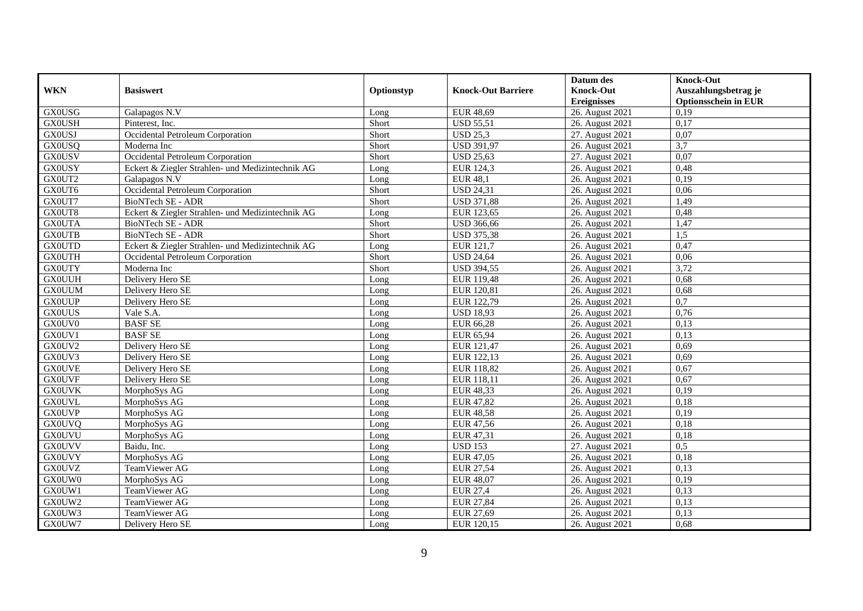|               |                                                  |            |                           | Datum des          | <b>Knock-Out</b>            |
|---------------|--------------------------------------------------|------------|---------------------------|--------------------|-----------------------------|
| <b>WKN</b>    | <b>Basiswert</b>                                 | Optionstyp | <b>Knock-Out Barriere</b> | <b>Knock-Out</b>   | Auszahlungsbetrag je        |
|               |                                                  |            |                           | <b>Ereignisses</b> | <b>Optionsschein in EUR</b> |
| <b>GX0USG</b> | Galapagos N.V                                    | Long       | EUR 48,69                 | 26. August 2021    | 0,19                        |
| <b>GX0USH</b> | Pinterest, Inc.                                  | Short      | <b>USD 55,51</b>          | 26. August 2021    | 0,17                        |
| <b>GX0USJ</b> | Occidental Petroleum Corporation                 | Short      | <b>USD 25,3</b>           | 27. August 2021    | 0,07                        |
| <b>GX0USQ</b> | Moderna Inc                                      | Short      | <b>USD 391,97</b>         | 26. August 2021    | 3,7                         |
| <b>GX0USV</b> | Occidental Petroleum Corporation                 | Short      | <b>USD 25,63</b>          | 27. August 2021    | 0,07                        |
| <b>GX0USY</b> | Eckert & Ziegler Strahlen- und Medizintechnik AG | Long       | EUR 124,3                 | 26. August 2021    | 0,48                        |
| GX0UT2        | Galapagos N.V                                    | Long       | <b>EUR 48,1</b>           | 26. August 2021    | 0,19                        |
| GX0UT6        | Occidental Petroleum Corporation                 | Short      | <b>USD 24,31</b>          | 26. August 2021    | 0,06                        |
| GX0UT7        | <b>BioNTech SE - ADR</b>                         | Short      | <b>USD 371,88</b>         | 26. August 2021    | 1,49                        |
| GX0UT8        | Eckert & Ziegler Strahlen- und Medizintechnik AG | Long       | EUR 123,65                | 26. August 2021    | 0,48                        |
| <b>GX0UTA</b> | BioNTech SE - ADR                                | Short      | <b>USD 366,66</b>         | 26. August 2021    | 1,47                        |
| <b>GX0UTB</b> | BioNTech SE - ADR                                | Short      | <b>USD 375,38</b>         | 26. August 2021    | 1,5                         |
| <b>GX0UTD</b> | Eckert & Ziegler Strahlen- und Medizintechnik AG | Long       | EUR 121,7                 | 26. August 2021    | 0,47                        |
| <b>GX0UTH</b> | Occidental Petroleum Corporation                 | Short      | <b>USD 24,64</b>          | 26. August 2021    | 0,06                        |
| <b>GX0UTY</b> | Moderna Inc                                      | Short      | <b>USD 394,55</b>         | 26. August 2021    | 3,72                        |
| <b>GX0UUH</b> | Delivery Hero SE                                 | Long       | EUR 119,48                | 26. August 2021    | 0,68                        |
| <b>GX0UUM</b> | Delivery Hero SE                                 | Long       | EUR 120,81                | 26. August 2021    | 0,68                        |
| <b>GX0UUP</b> | Delivery Hero SE                                 | Long       | EUR 122,79                | 26. August 2021    | 0,7                         |
| <b>GX0UUS</b> | Vale S.A.                                        | Long       | <b>USD 18,93</b>          | 26. August 2021    | 0.76                        |
| GX0UV0        | <b>BASF SE</b>                                   | Long       | EUR 66,28                 | 26. August 2021    | 0,13                        |
| GX0UV1        | <b>BASF SE</b>                                   | Long       | EUR 65,94                 | 26. August 2021    | 0,13                        |
| GX0UV2        | Delivery Hero SE                                 | Long       | EUR 121,47                | 26. August 2021    | 0.69                        |
| GX0UV3        | Delivery Hero SE                                 | Long       | EUR 122,13                | 26. August 2021    | 0.69                        |
| <b>GX0UVE</b> | Delivery Hero SE                                 | Long       | EUR 118,82                | 26. August 2021    | 0,67                        |
| <b>GX0UVF</b> | Delivery Hero SE                                 | Long       | EUR 118,11                | 26. August 2021    | 0,67                        |
| <b>GX0UVK</b> | MorphoSys AG                                     | Long       | <b>EUR 48,33</b>          | 26. August 2021    | 0,19                        |
| <b>GX0UVL</b> | MorphoSys AG                                     | Long       | <b>EUR 47,82</b>          | 26. August 2021    | 0,18                        |
| <b>GX0UVP</b> | MorphoSys AG                                     | Long       | <b>EUR 48,58</b>          | 26. August 2021    | 0,19                        |
| <b>GX0UVQ</b> | MorphoSys AG                                     | Long       | EUR 47,56                 | 26. August 2021    | 0,18                        |
| <b>GX0UVU</b> | MorphoSys AG                                     | Long       | EUR 47,31                 | 26. August 2021    | 0,18                        |
| <b>GX0UVV</b> | Baidu, Inc.                                      | Long       | <b>USD 153</b>            | 27. August 2021    | 0,5                         |
| <b>GX0UVY</b> | MorphoSys AG                                     | Long       | EUR 47,05                 | 26. August 2021    | 0,18                        |
| <b>GX0UVZ</b> | TeamViewer AG                                    | Long       | EUR 27,54                 | 26. August 2021    | 0,13                        |
| GX0UW0        | MorphoSys AG                                     | Long       | <b>EUR 48,07</b>          | 26. August 2021    | 0,19                        |
| GX0UW1        | TeamViewer AG                                    | Long       | <b>EUR 27,4</b>           | 26. August 2021    | 0,13                        |
| GX0UW2        | TeamViewer AG                                    | Long       | <b>EUR 27,84</b>          | 26. August 2021    | 0,13                        |
| GX0UW3        | TeamViewer AG                                    | Long       | EUR 27,69                 | 26. August 2021    | 0,13                        |
| GX0UW7        | Delivery Hero SE                                 | Long       | EUR 120,15                | 26. August 2021    | 0,68                        |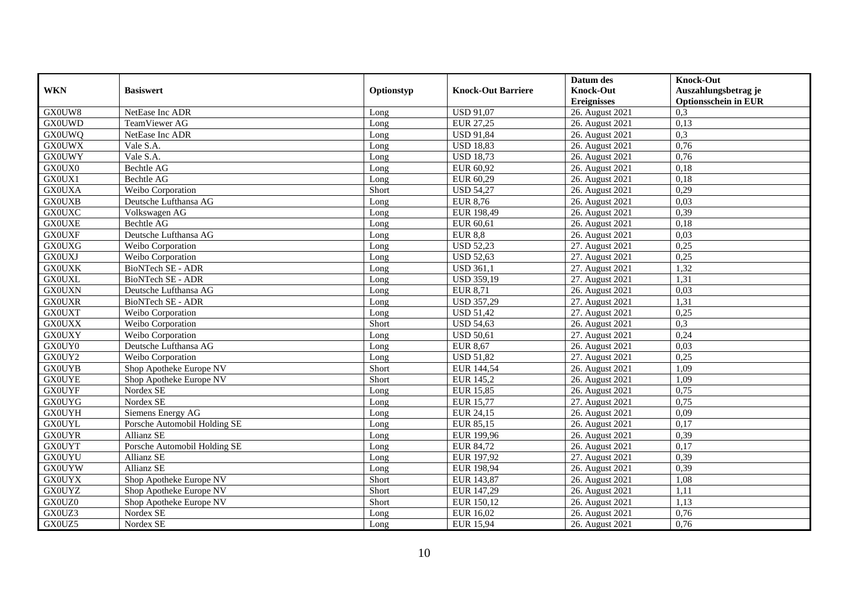|               |                              |            |                           | Datum des          | <b>Knock-Out</b>            |
|---------------|------------------------------|------------|---------------------------|--------------------|-----------------------------|
| <b>WKN</b>    | <b>Basiswert</b>             | Optionstyp | <b>Knock-Out Barriere</b> | <b>Knock-Out</b>   | Auszahlungsbetrag je        |
|               |                              |            |                           | <b>Ereignisses</b> | <b>Optionsschein in EUR</b> |
| GX0UW8        | NetEase Inc ADR              | Long       | <b>USD 91,07</b>          | 26. August 2021    | 0,3                         |
| <b>GX0UWD</b> | TeamViewer AG                | Long       | EUR 27,25                 | 26. August 2021    | 0,13                        |
| <b>GX0UWQ</b> | NetEase Inc ADR              | Long       | <b>USD 91,84</b>          | 26. August 2021    | 0,3                         |
| <b>GX0UWX</b> | Vale S.A.                    | Long       | <b>USD 18,83</b>          | 26. August 2021    | 0,76                        |
| <b>GX0UWY</b> | Vale S.A.                    | Long       | <b>USD 18,73</b>          | 26. August 2021    | 0,76                        |
| GX0UX0        | <b>Bechtle AG</b>            | Long       | EUR 60,92                 | 26. August 2021    | 0.18                        |
| GX0UX1        | <b>Bechtle AG</b>            | Long       | EUR 60,29                 | 26. August 2021    | 0.18                        |
| <b>GX0UXA</b> | Weibo Corporation            | Short      | <b>USD 54,27</b>          | 26. August 2021    | 0,29                        |
| <b>GX0UXB</b> | Deutsche Lufthansa AG        | Long       | <b>EUR 8,76</b>           | 26. August 2021    | 0,03                        |
| <b>GX0UXC</b> | Volkswagen AG                | Long       | EUR 198,49                | 26. August 2021    | 0,39                        |
| <b>GX0UXE</b> | <b>Bechtle AG</b>            | Long       | EUR 60,61                 | 26. August 2021    | 0,18                        |
| <b>GX0UXF</b> | Deutsche Lufthansa AG        | Long       | <b>EUR 8,8</b>            | 26. August 2021    | 0,03                        |
| <b>GX0UXG</b> | Weibo Corporation            | Long       | <b>USD 52,23</b>          | 27. August 2021    | 0,25                        |
| <b>GX0UXJ</b> | Weibo Corporation            | Long       | <b>USD 52,63</b>          | 27. August 2021    | 0,25                        |
| <b>GX0UXK</b> | <b>BioNTech SE - ADR</b>     | Long       | <b>USD 361,1</b>          | 27. August 2021    | 1,32                        |
| <b>GX0UXL</b> | BioNTech SE - ADR            | Long       | <b>USD 359,19</b>         | 27. August 2021    | 1,31                        |
| <b>GX0UXN</b> | Deutsche Lufthansa AG        | Long       | <b>EUR 8,71</b>           | 26. August 2021    | 0,03                        |
| <b>GX0UXR</b> | BioNTech SE - ADR            | Long       | <b>USD 357,29</b>         | 27. August 2021    | 1,31                        |
| <b>GX0UXT</b> | Weibo Corporation            | Long       | <b>USD 51,42</b>          | 27. August 2021    | 0,25                        |
| <b>GX0UXX</b> | Weibo Corporation            | Short      | <b>USD 54,63</b>          | 26. August 2021    | 0,3                         |
| <b>GX0UXY</b> | Weibo Corporation            | Long       | <b>USD 50,61</b>          | 27. August 2021    | 0,24                        |
| GX0UY0        | Deutsche Lufthansa AG        | Long       | <b>EUR 8,67</b>           | 26. August 2021    | 0.03                        |
| GX0UY2        | Weibo Corporation            | Long       | <b>USD 51,82</b>          | 27. August 2021    | 0,25                        |
| <b>GX0UYB</b> | Shop Apotheke Europe NV      | Short      | EUR 144,54                | 26. August 2021    | 1,09                        |
| <b>GX0UYE</b> | Shop Apotheke Europe NV      | Short      | <b>EUR 145,2</b>          | 26. August 2021    | 1,09                        |
| <b>GX0UYF</b> | Nordex SE                    | Long       | <b>EUR 15,85</b>          | 26. August 2021    | 0,75                        |
| <b>GX0UYG</b> | Nordex SE                    | Long       | <b>EUR 15,77</b>          | 27. August 2021    | 0,75                        |
| <b>GX0UYH</b> | Siemens Energy AG            | Long       | EUR 24,15                 | 26. August 2021    | 0,09                        |
| <b>GX0UYL</b> | Porsche Automobil Holding SE | Long       | EUR 85,15                 | 26. August 2021    | 0,17                        |
| <b>GX0UYR</b> | Allianz SE                   | Long       | EUR 199,96                | 26. August 2021    | 0,39                        |
| <b>GX0UYT</b> | Porsche Automobil Holding SE | Long       | <b>EUR 84,72</b>          | 26. August 2021    | 0,17                        |
| <b>GX0UYU</b> | Allianz SE                   | Long       | EUR 197,92                | 27. August 2021    | 0,39                        |
| <b>GX0UYW</b> | Allianz SE                   | Long       | EUR 198,94                | 26. August 2021    | 0,39                        |
| <b>GX0UYX</b> | Shop Apotheke Europe NV      | Short      | EUR 143,87                | 26. August 2021    | 1,08                        |
| <b>GX0UYZ</b> | Shop Apotheke Europe NV      | Short      | EUR 147,29                | 26. August 2021    | 1,11                        |
| GX0UZ0        | Shop Apotheke Europe NV      | Short      | EUR 150,12                | 26. August 2021    | 1,13                        |
| GX0UZ3        | Nordex SE                    | Long       | EUR 16,02                 | 26. August 2021    | 0,76                        |
| GX0UZ5        | Nordex SE                    | Long       | <b>EUR 15,94</b>          | 26. August 2021    | 0,76                        |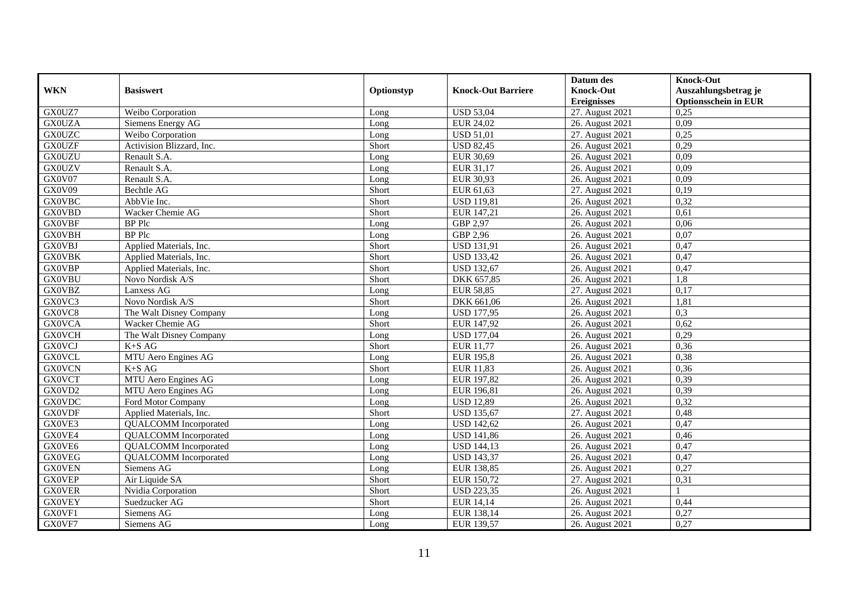|               |                              |            |                           | Datum des          | <b>Knock-Out</b>            |
|---------------|------------------------------|------------|---------------------------|--------------------|-----------------------------|
| <b>WKN</b>    | <b>Basiswert</b>             | Optionstyp | <b>Knock-Out Barriere</b> | <b>Knock-Out</b>   | Auszahlungsbetrag je        |
|               |                              |            |                           | <b>Ereignisses</b> | <b>Optionsschein in EUR</b> |
| GX0UZ7        | Weibo Corporation            | Long       | <b>USD 53,04</b>          | 27. August 2021    | 0,25                        |
| <b>GX0UZA</b> | Siemens Energy AG            | Long       | EUR 24,02                 | 26. August 2021    | 0,09                        |
| <b>GX0UZC</b> | Weibo Corporation            | Long       | <b>USD 51,01</b>          | 27. August 2021    | 0,25                        |
| <b>GX0UZF</b> | Activision Blizzard, Inc.    | Short      | <b>USD 82,45</b>          | 26. August 2021    | 0,29                        |
| <b>GX0UZU</b> | Renault S.A.                 | Long       | EUR 30,69                 | 26. August 2021    | 0.09                        |
| <b>GX0UZV</b> | Renault S.A.                 | Long       | EUR 31,17                 | 26. August 2021    | 0,09                        |
| GX0V07        | Renault S.A.                 | Long       | EUR 30,93                 | 26. August 2021    | 0,09                        |
| GX0V09        | Bechtle AG                   | Short      | EUR 61,63                 | 27. August 2021    | 0,19                        |
| <b>GX0VBC</b> | AbbVie Inc.                  | Short      | <b>USD 119,81</b>         | 26. August 2021    | 0,32                        |
| <b>GX0VBD</b> | Wacker Chemie AG             | Short      | EUR 147,21                | 26. August 2021    | 0,61                        |
| <b>GX0VBF</b> | <b>BP</b> Plc                | Long       | GBP 2,97                  | 26. August 2021    | 0,06                        |
| GX0VBH        | <b>BP</b> Plc                | Long       | GBP 2,96                  | 26. August 2021    | 0,07                        |
| <b>GX0VBJ</b> | Applied Materials, Inc.      | Short      | <b>USD 131,91</b>         | 26. August 2021    | 0,47                        |
| <b>GX0VBK</b> | Applied Materials, Inc.      | Short      | <b>USD 133,42</b>         | 26. August 2021    | 0,47                        |
| <b>GX0VBP</b> | Applied Materials, Inc.      | Short      | <b>USD 132,67</b>         | 26. August 2021    | 0,47                        |
| <b>GX0VBU</b> | Novo Nordisk A/S             | Short      | DKK 657,85                | 26. August 2021    | 1,8                         |
| GX0VBZ        | Lanxess AG                   | Long       | <b>EUR 58,85</b>          | 27. August 2021    | 0,17                        |
| GX0VC3        | Novo Nordisk A/S             | Short      | DKK 661.06                | 26. August 2021    | 1.81                        |
| GX0VC8        | The Walt Disney Company      | Long       | <b>USD 177,95</b>         | 26. August 2021    | 0,3                         |
| <b>GX0VCA</b> | Wacker Chemie AG             | Short      | EUR 147,92                | 26. August 2021    | 0,62                        |
| <b>GX0VCH</b> | The Walt Disney Company      | Long       | <b>USD 177,04</b>         | 26. August 2021    | 0,29                        |
| <b>GX0VCJ</b> | $K+SAG$                      | Short      | EUR 11,77                 | 26. August 2021    | 0,36                        |
| <b>GX0VCL</b> | MTU Aero Engines AG          | Long       | <b>EUR 195,8</b>          | 26. August 2021    | 0,38                        |
| <b>GX0VCN</b> | K+S AG                       | Short      | <b>EUR 11,83</b>          | 26. August 2021    | 0,36                        |
| <b>GX0VCT</b> | MTU Aero Engines AG          | Long       | EUR 197,82                | 26. August 2021    | 0,39                        |
| GX0VD2        | MTU Aero Engines AG          | Long       | EUR 196,81                | 26. August 2021    | 0,39                        |
| <b>GX0VDC</b> | Ford Motor Company           | Long       | <b>USD 12,89</b>          | 26. August 2021    | 0,32                        |
| <b>GX0VDF</b> | Applied Materials, Inc.      | Short      | <b>USD 135,67</b>         | 27. August 2021    | 0,48                        |
| GX0VE3        | <b>QUALCOMM</b> Incorporated | Long       | <b>USD 142,62</b>         | 26. August 2021    | 0,47                        |
| GX0VE4        | <b>QUALCOMM</b> Incorporated | Long       | <b>USD 141,86</b>         | 26. August 2021    | 0,46                        |
| GX0VE6        | <b>QUALCOMM</b> Incorporated | Long       | <b>USD 144,13</b>         | 26. August 2021    | 0,47                        |
| <b>GX0VEG</b> | <b>QUALCOMM</b> Incorporated | Long       | <b>USD 143,37</b>         | 26. August 2021    | 0,47                        |
| <b>GX0VEN</b> | Siemens AG                   | Long       | EUR 138,85                | 26. August 2021    | 0,27                        |
| <b>GX0VEP</b> | Air Liquide SA               | Short      | EUR 150,72                | 27. August 2021    | 0,31                        |
| <b>GX0VER</b> | Nvidia Corporation           | Short      | <b>USD 223,35</b>         | 26. August 2021    |                             |
| <b>GX0VEY</b> | Suedzucker AG                | Short      | EUR 14,14                 | 26. August 2021    | 0,44                        |
| GX0VF1        | Siemens AG                   | Long       | EUR 138,14                | 26. August 2021    | 0,27                        |
| GX0VF7        | Siemens AG                   | Long       | EUR 139,57                | 26. August 2021    | 0,27                        |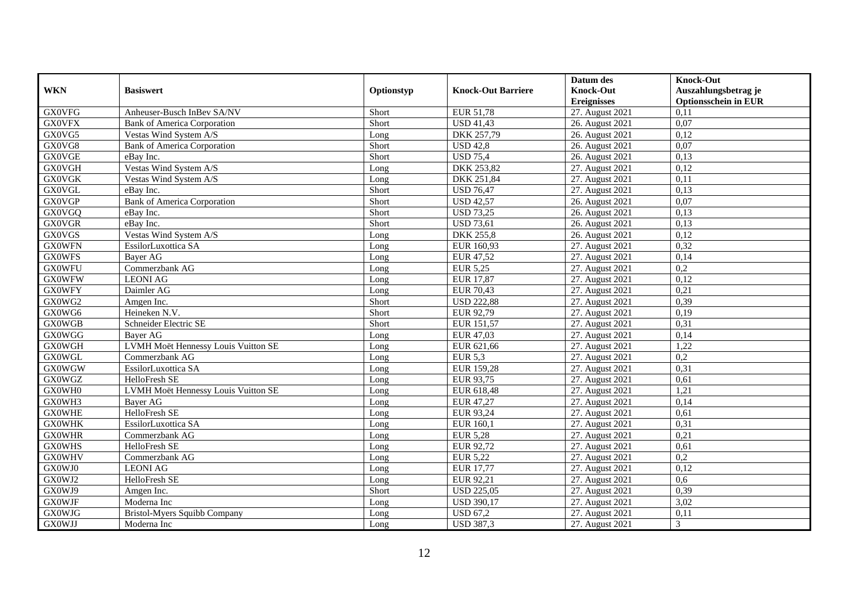|                     |                                     |            |                           | Datum des          | <b>Knock-Out</b>            |
|---------------------|-------------------------------------|------------|---------------------------|--------------------|-----------------------------|
| <b>WKN</b>          | <b>Basiswert</b>                    | Optionstyp | <b>Knock-Out Barriere</b> | <b>Knock-Out</b>   | Auszahlungsbetrag je        |
|                     |                                     |            |                           | <b>Ereignisses</b> | <b>Optionsschein in EUR</b> |
| <b>GX0VFG</b>       | Anheuser-Busch InBev SA/NV          | Short      | EUR 51,78                 | 27. August 2021    | 0,11                        |
| <b>GX0VFX</b>       | <b>Bank of America Corporation</b>  | Short      | <b>USD 41,43</b>          | 26. August 2021    | 0,07                        |
| GX0VG5              | Vestas Wind System A/S              | Long       | DKK 257,79                | 26. August 2021    | 0,12                        |
| GX0VG8              | <b>Bank of America Corporation</b>  | Short      | <b>USD 42,8</b>           | 26. August 2021    | 0,07                        |
| <b>GX0VGE</b>       | eBay Inc.                           | Short      | <b>USD 75,4</b>           | 26. August 2021    | 0,13                        |
| <b>GX0VGH</b>       | Vestas Wind System A/S              | Long       | DKK 253,82                | 27. August 2021    | 0,12                        |
| <b>GX0VGK</b>       | Vestas Wind System A/S              | Long       | DKK 251,84                | 27. August 2021    | 0,11                        |
| <b>GX0VGL</b>       | eBay Inc.                           | Short      | <b>USD 76,47</b>          | 27. August 2021    | 0,13                        |
| <b>GX0VGP</b>       | <b>Bank of America Corporation</b>  | Short      | <b>USD 42,57</b>          | 26. August 2021    | 0,07                        |
| GX0VGQ              | eBav Inc.                           | Short      | <b>USD 73,25</b>          | 26. August 2021    | 0,13                        |
| <b>GX0VGR</b>       | eBay Inc.                           | Short      | <b>USD 73,61</b>          | 26. August 2021    | 0,13                        |
| <b>GX0VGS</b>       | Vestas Wind System A/S              | Long       | <b>DKK 255,8</b>          | 26. August 2021    | 0,12                        |
| <b>GX0WFN</b>       | EssilorLuxottica SA                 | Long       | EUR 160,93                | 27. August 2021    | 0,32                        |
| <b>GX0WFS</b>       | Bayer AG                            | Long       | EUR 47,52                 | 27. August 2021    | 0,14                        |
| <b>GX0WFU</b>       | Commerzbank AG                      | Long       | <b>EUR 5,25</b>           | 27. August 2021    | 0,2                         |
| <b>GX0WFW</b>       | <b>LEONI AG</b>                     | Long       | <b>EUR 17,87</b>          | 27. August 2021    | 0,12                        |
| <b>GX0WFY</b>       | Daimler AG                          | Long       | <b>EUR 70,43</b>          | 27. August 2021    | 0,21                        |
| GX0WG2              | Amgen Inc.                          | Short      | <b>USD 222,88</b>         | 27. August 2021    | 0.39                        |
| $GX0\overline{WG6}$ | Heineken N.V.                       | Short      | EUR 92,79                 | 27. August 2021    | 0,19                        |
| <b>GX0WGB</b>       | Schneider Electric SE               | Short      | EUR 151,57                | 27. August 2021    | 0,31                        |
| <b>GX0WGG</b>       | Bayer AG                            | Long       | EUR 47,03                 | 27. August 2021    | 0,14                        |
| <b>GX0WGH</b>       | LVMH Moët Hennessy Louis Vuitton SE | Long       | EUR 621,66                | 27. August 2021    | 1,22                        |
| <b>GX0WGL</b>       | Commerzbank AG                      | Long       | <b>EUR 5.3</b>            | 27. August 2021    | 0,2                         |
| <b>GX0WGW</b>       | EssilorLuxottica SA                 | Long       | EUR 159,28                | 27. August 2021    | 0,31                        |
| <b>GX0WGZ</b>       | HelloFresh SE                       | Long       | EUR 93,75                 | 27. August 2021    | 0,61                        |
| GX0WH0              | LVMH Moët Hennessy Louis Vuitton SE | Long       | EUR 618,48                | 27. August 2021    | 1,21                        |
| GX0WH3              | Bayer AG                            | Long       | EUR 47,27                 | 27. August 2021    | 0,14                        |
| <b>GX0WHE</b>       | HelloFresh SE                       | Long       | EUR 93,24                 | 27. August 2021    | 0.61                        |
| <b>GX0WHK</b>       | EssilorLuxottica SA                 | Long       | EUR 160,1                 | 27. August 2021    | 0,31                        |
| <b>GX0WHR</b>       | Commerzbank AG                      | Long       | <b>EUR 5,28</b>           | 27. August 2021    | 0,21                        |
| <b>GX0WHS</b>       | HelloFresh SE                       | Long       | EUR 92,72                 | 27. August 2021    | 0,61                        |
| <b>GX0WHV</b>       | Commerzbank AG                      | Long       | <b>EUR 5,22</b>           | 27. August 2021    | 0,2                         |
| GX0WJ0              | <b>LEONI AG</b>                     | Long       | <b>EUR 17,77</b>          | 27. August 2021    | 0,12                        |
| GX0WJ2              | HelloFresh SE                       | Long       | EUR 92,21                 | 27. August 2021    | 0.6                         |
| GX0WJ9              | Amgen Inc.                          | Short      | <b>USD 225,05</b>         | 27. August 2021    | 0,39                        |
| <b>GX0WJF</b>       | Moderna Inc                         | Long       | <b>USD 390,17</b>         | 27. August 2021    | 3,02                        |
| <b>GX0WJG</b>       | <b>Bristol-Myers Squibb Company</b> | Long       | <b>USD 67,2</b>           | 27. August 2021    | 0,11                        |
| <b>GX0WJJ</b>       | Moderna Inc                         | Long       | <b>USD 387,3</b>          | 27. August 2021    | 3                           |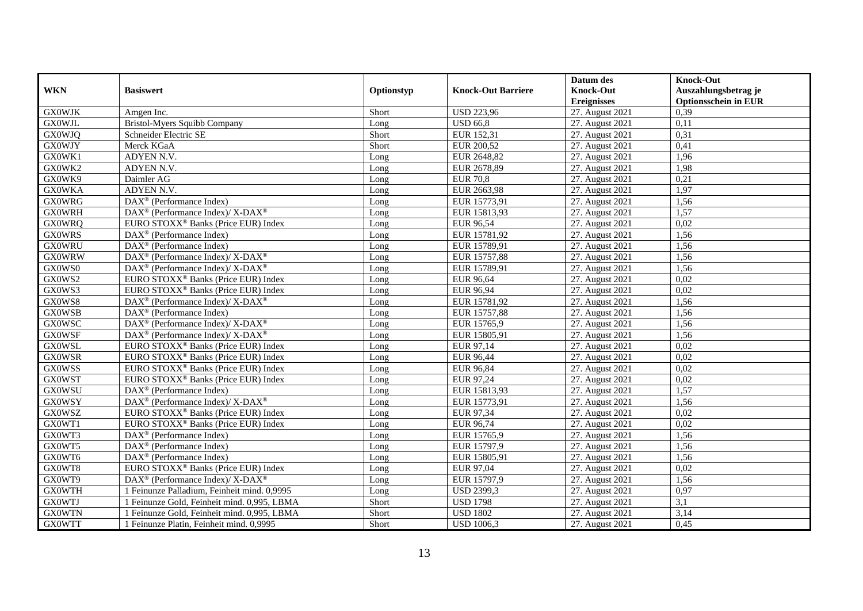|               |                                                                    |            |                           | Datum des          | <b>Knock-Out</b>            |
|---------------|--------------------------------------------------------------------|------------|---------------------------|--------------------|-----------------------------|
| <b>WKN</b>    | <b>Basiswert</b>                                                   | Optionstyp | <b>Knock-Out Barriere</b> | <b>Knock-Out</b>   | Auszahlungsbetrag je        |
|               |                                                                    |            |                           | <b>Ereignisses</b> | <b>Optionsschein in EUR</b> |
| <b>GX0WJK</b> | Amgen Inc.                                                         | Short      | <b>USD 223,96</b>         | 27. August 2021    | 0,39                        |
| <b>GX0WJL</b> | <b>Bristol-Myers Squibb Company</b>                                | Long       | $\overline{$ USD 66,8     | 27. August 2021    | 0,11                        |
| <b>GX0WJQ</b> | Schneider Electric SE                                              | Short      | EUR 152,31                | 27. August 2021    | 0,31                        |
| <b>GX0WJY</b> | Merck KGaA                                                         | Short      | EUR 200,52                | 27. August 2021    | 0,41                        |
| GX0WK1        | ADYEN N.V.                                                         | Long       | EUR 2648,82               | 27. August 2021    | 1,96                        |
| GX0WK2        | ADYEN N.V.                                                         | Long       | EUR 2678,89               | 27. August 2021    | 1,98                        |
| GX0WK9        | Daimler AG                                                         | Long       | <b>EUR 70,8</b>           | 27. August 2021    | 0,21                        |
| <b>GX0WKA</b> | ADYEN N.V.                                                         | Long       | EUR 2663,98               | 27. August 2021    | 1,97                        |
| <b>GX0WRG</b> | $\text{DAX}^{\textcircled{}}$ (Performance Index)                  | Long       | EUR 15773,91              | 27. August 2021    | 1,56                        |
| <b>GX0WRH</b> | DAX <sup>®</sup> (Performance Index)/ X-DAX <sup>®</sup>           | Long       | EUR 15813,93              | 27. August 2021    | 1,57                        |
| <b>GX0WRQ</b> | EURO STOXX <sup>®</sup> Banks (Price EUR) Index                    | Long       | EUR 96,54                 | 27. August 2021    | 0,02                        |
| <b>GX0WRS</b> | DAX <sup>®</sup> (Performance Index)                               | Long       | EUR 15781,92              | 27. August 2021    | 1,56                        |
| <b>GX0WRU</b> | $\text{DAX}^{\textcircled{}}$ (Performance Index)                  | Long       | EUR 15789,91              | 27. August 2021    | 1,56                        |
| <b>GX0WRW</b> | $\text{DAX}^{\circledast}$ (Performance Index)/ X-DAX <sup>®</sup> | Long       | EUR 15757,88              | 27. August 2021    | 1,56                        |
| GX0WS0        | DAX <sup>®</sup> (Performance Index)/ X-DAX <sup>®</sup>           | Long       | EUR 15789,91              | 27. August 2021    | 1,56                        |
| GX0WS2        | EURO STOXX <sup>®</sup> Banks (Price EUR) Index                    | Long       | EUR 96,64                 | 27. August 2021    | 0,02                        |
| GX0WS3        | EURO STOXX <sup>®</sup> Banks (Price EUR) Index                    | Long       | EUR 96,94                 | 27. August 2021    | 0.02                        |
| GX0WS8        | DAX <sup>®</sup> (Performance Index)/ X-DAX <sup>®</sup>           | Long       | EUR 15781,92              | 27. August 2021    | 1,56                        |
| <b>GX0WSB</b> | $\text{DAX}^{\textcircled{}}$ (Performance Index)                  | Long       | EUR 15757,88              | 27. August 2021    | 1,56                        |
| <b>GX0WSC</b> | $\text{DAX}^{\circledast}$ (Performance Index)/ X-DAX <sup>®</sup> | Long       | EUR 15765,9               | 27. August 2021    | 1,56                        |
| <b>GX0WSF</b> | DAX <sup>®</sup> (Performance Index)/ X-DAX <sup>®</sup>           | Long       | EUR 15805,91              | 27. August 2021    | 1,56                        |
| <b>GX0WSL</b> | EURO STOXX <sup>®</sup> Banks (Price EUR) Index                    | Long       | EUR 97,14                 | 27. August 2021    | 0,02                        |
| <b>GX0WSR</b> | EURO STOXX <sup>®</sup> Banks (Price EUR) Index                    | Long       | <b>EUR 96,44</b>          | 27. August 2021    | 0,02                        |
| <b>GX0WSS</b> | EURO STOXX <sup>®</sup> Banks (Price EUR) Index                    | Long       | EUR 96,84                 | 27. August 2021    | 0,02                        |
| <b>GX0WST</b> | EURO STOXX <sup>®</sup> Banks (Price EUR) Index                    | Long       | EUR 97,24                 | 27. August 2021    | 0,02                        |
| <b>GX0WSU</b> | $\text{DAX}^{\textcircled{}}$ (Performance Index)                  | Long       | EUR 15813,93              | 27. August 2021    | 1,57                        |
| <b>GX0WSY</b> | DAX <sup>®</sup> (Performance Index)/X-DAX <sup>®</sup>            | Long       | EUR 15773,91              | 27. August 2021    | 1,56                        |
| <b>GX0WSZ</b> | EURO STOXX <sup>®</sup> Banks (Price EUR) Index                    | Long       | EUR 97,34                 | 27. August 2021    | 0,02                        |
| GX0WT1        | EURO STOXX <sup>®</sup> Banks (Price EUR) Index                    | Long       | EUR 96,74                 | 27. August 2021    | 0,02                        |
| GX0WT3        | $DAX^{\circledR}$ (Performance Index)                              | Long       | EUR 15765.9               | 27. August 2021    | 1,56                        |
| GX0WT5        | $\text{DAX}^{\textcircled{}}$ (Performance Index)                  | Long       | EUR 15797,9               | 27. August 2021    | 1,56                        |
| GX0WT6        | $\text{DAX}^{\textcircled{}}$ (Performance Index)                  | Long       | EUR 15805,91              | 27. August 2021    | 1,56                        |
| GX0WT8        | EURO STOXX <sup>®</sup> Banks (Price EUR) Index                    | Long       | EUR 97,04                 | 27. August 2021    | 0,02                        |
| GX0WT9        | DAX <sup>®</sup> (Performance Index)/ X-DAX <sup>®</sup>           | Long       | EUR 15797,9               | 27. August 2021    | 1,56                        |
| <b>GX0WTH</b> | 1 Feinunze Palladium, Feinheit mind. 0,9995                        | Long       | <b>USD 2399,3</b>         | 27. August 2021    | 0,97                        |
| <b>GX0WTJ</b> | 1 Feinunze Gold, Feinheit mind. 0,995, LBMA                        | Short      | <b>USD 1798</b>           | 27. August 2021    | 3,1                         |
| <b>GX0WTN</b> | 1 Feinunze Gold, Feinheit mind. 0,995, LBMA                        | Short      | <b>USD 1802</b>           | 27. August 2021    | 3,14                        |
| <b>GX0WTT</b> | 1 Feinunze Platin, Feinheit mind. 0,9995                           | Short      | <b>USD 1006,3</b>         | 27. August 2021    | 0,45                        |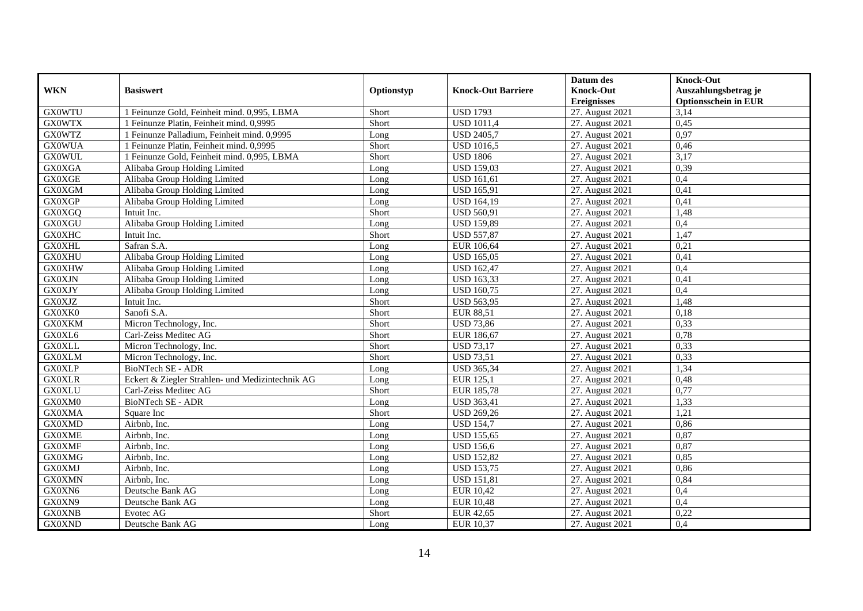|               |                                                  |            |                           | Datum des          | <b>Knock-Out</b>            |
|---------------|--------------------------------------------------|------------|---------------------------|--------------------|-----------------------------|
| <b>WKN</b>    | <b>Basiswert</b>                                 | Optionstyp | <b>Knock-Out Barriere</b> | <b>Knock-Out</b>   | Auszahlungsbetrag je        |
|               |                                                  |            |                           | <b>Ereignisses</b> | <b>Optionsschein in EUR</b> |
| <b>GX0WTU</b> | 1 Feinunze Gold, Feinheit mind. 0,995, LBMA      | Short      | <b>USD</b> 1793           | 27. August 2021    | 3,14                        |
| <b>GX0WTX</b> | 1 Feinunze Platin, Feinheit mind. 0,9995         | Short      | $\overline{USD}$ 1011,4   | 27. August 2021    | 0,45                        |
| <b>GX0WTZ</b> | 1 Feinunze Palladium, Feinheit mind. 0,9995      | Long       | <b>USD 2405,7</b>         | 27. August 2021    | 0,97                        |
| <b>GX0WUA</b> | 1 Feinunze Platin, Feinheit mind. 0,9995         | Short      | <b>USD 1016,5</b>         | 27. August 2021    | 0,46                        |
| <b>GX0WUL</b> | 1 Feinunze Gold, Feinheit mind. 0,995, LBMA      | Short      | <b>USD 1806</b>           | 27. August 2021    | 3,17                        |
| <b>GX0XGA</b> | Alibaba Group Holding Limited                    | Long       | <b>USD 159,03</b>         | 27. August 2021    | 0,39                        |
| <b>GX0XGE</b> | Alibaba Group Holding Limited                    | Long       | <b>USD 161,61</b>         | 27. August 2021    | 0,4                         |
| <b>GX0XGM</b> | Alibaba Group Holding Limited                    | Long       | <b>USD 165,91</b>         | 27. August 2021    | 0,41                        |
| GX0XGP        | Alibaba Group Holding Limited                    | Long       | <b>USD 164,19</b>         | 27. August 2021    | 0,41                        |
| GX0XGQ        | Intuit Inc.                                      | Short      | <b>USD 560,91</b>         | 27. August 2021    | 1,48                        |
| <b>GX0XGU</b> | Alibaba Group Holding Limited                    | Long       | <b>USD 159,89</b>         | 27. August 2021    | 0,4                         |
| <b>GX0XHC</b> | Intuit Inc.                                      | Short      | <b>USD 557,87</b>         | 27. August 2021    | 1,47                        |
| <b>GX0XHL</b> | Safran S.A.                                      | Long       | EUR 106,64                | 27. August 2021    | 0,21                        |
| <b>GX0XHU</b> | Alibaba Group Holding Limited                    | Long       | <b>USD 165,05</b>         | 27. August 2021    | 0,41                        |
| <b>GX0XHW</b> | Alibaba Group Holding Limited                    | Long       | <b>USD 162,47</b>         | 27. August 2021    | 0,4                         |
| <b>GX0XJN</b> | Alibaba Group Holding Limited                    | Long       | <b>USD 163,33</b>         | 27. August 2021    | 0,41                        |
| <b>GX0XJY</b> | Alibaba Group Holding Limited                    | Long       | <b>USD 160,75</b>         | 27. August 2021    | 0,4                         |
| <b>GX0XJZ</b> | Intuit Inc.                                      | Short      | <b>USD 563,95</b>         | 27. August 2021    | 1,48                        |
| GX0XK0        | Sanofi S.A.                                      | Short      | <b>EUR 88,51</b>          | 27. August 2021    | 0,18                        |
| <b>GX0XKM</b> | Micron Technology, Inc.                          | Short      | <b>USD 73,86</b>          | 27. August 2021    | 0,33                        |
| GX0XL6        | Carl-Zeiss Meditec AG                            | Short      | EUR 186,67                | 27. August 2021    | 0,78                        |
| <b>GX0XLL</b> | Micron Technology, Inc.                          | Short      | <b>USD 73,17</b>          | 27. August 2021    | 0,33                        |
| <b>GX0XLM</b> | Micron Technology, Inc.                          | Short      | <b>USD 73,51</b>          | 27. August 2021    | 0,33                        |
| <b>GX0XLP</b> | BioNTech SE - ADR                                | Long       | <b>USD 365,34</b>         | 27. August 2021    | 1,34                        |
| <b>GX0XLR</b> | Eckert & Ziegler Strahlen- und Medizintechnik AG | Long       | <b>EUR 125,1</b>          | 27. August 2021    | 0,48                        |
| <b>GX0XLU</b> | Carl-Zeiss Meditec AG                            | Short      | <b>EUR 185,78</b>         | 27. August 2021    | 0,77                        |
| GX0XM0        | BioNTech SE - ADR                                | Long       | <b>USD 363,41</b>         | 27. August 2021    | 1,33                        |
| <b>GX0XMA</b> | Square Inc                                       | Short      | <b>USD 269,26</b>         | 27. August 2021    | 1,21                        |
| <b>GX0XMD</b> | Airbnb, Inc.                                     | Long       | <b>USD 154,7</b>          | 27. August 2021    | 0,86                        |
| <b>GX0XME</b> | Airbnb, Inc.                                     | Long       | <b>USD 155,65</b>         | 27. August 2021    | 0,87                        |
| <b>GX0XMF</b> | Airbnb, Inc.                                     | Long       | <b>USD 156,6</b>          | 27. August 2021    | 0,87                        |
| <b>GX0XMG</b> | Airbnb, Inc.                                     | Long       | <b>USD 152,82</b>         | 27. August 2021    | 0,85                        |
| <b>GX0XMJ</b> | Airbnb, Inc.                                     | Long       | <b>USD 153,75</b>         | 27. August 2021    | 0,86                        |
| <b>GX0XMN</b> | Airbnb. Inc.                                     | Long       | <b>USD 151,81</b>         | 27. August 2021    | 0,84                        |
| GX0XN6        | Deutsche Bank AG                                 | Long       | EUR 10,42                 | 27. August 2021    | 0,4                         |
| GX0XN9        | Deutsche Bank AG                                 | Long       | <b>EUR 10,48</b>          | 27. August 2021    | 0,4                         |
| <b>GX0XNB</b> | Evotec AG                                        | Short      | <b>EUR 42,65</b>          | 27. August 2021    | 0,22                        |
| <b>GX0XND</b> | Deutsche Bank AG                                 | Long       | EUR 10,37                 | 27. August 2021    | 0,4                         |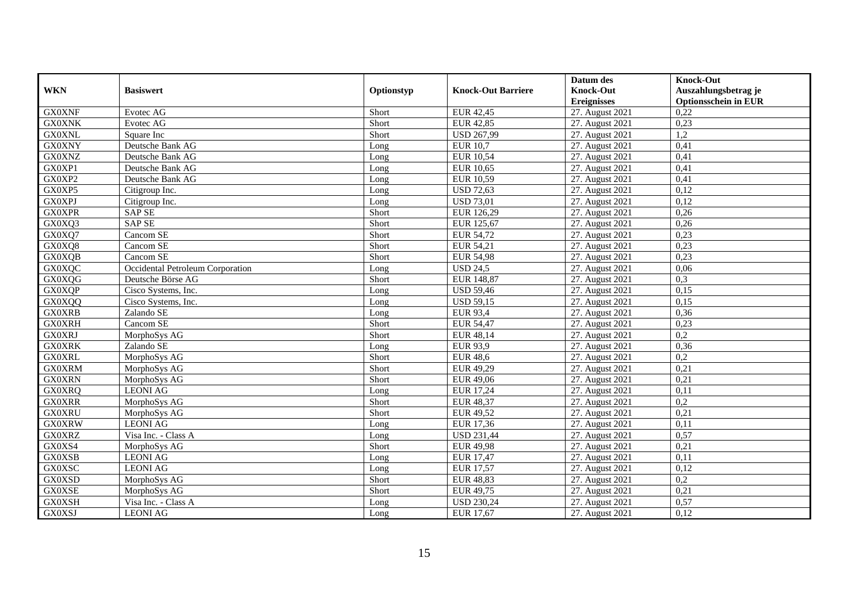|               |                                  |            |                           | Datum des          | <b>Knock-Out</b>            |
|---------------|----------------------------------|------------|---------------------------|--------------------|-----------------------------|
| <b>WKN</b>    | <b>Basiswert</b>                 | Optionstyp | <b>Knock-Out Barriere</b> | <b>Knock-Out</b>   | Auszahlungsbetrag je        |
|               |                                  |            |                           | <b>Ereignisses</b> | <b>Optionsschein in EUR</b> |
| <b>GX0XNF</b> | Evotec AG                        | Short      | EUR 42,45                 | 27. August 2021    | 0,22                        |
| <b>GX0XNK</b> | Evotec AG                        | Short      | <b>EUR 42,85</b>          | 27. August 2021    | 0,23                        |
| <b>GX0XNL</b> | Square Inc                       | Short      | <b>USD 267,99</b>         | 27. August 2021    | 1,2                         |
| <b>GX0XNY</b> | Deutsche Bank AG                 | Long       | <b>EUR 10,7</b>           | 27. August 2021    | 0,41                        |
| <b>GX0XNZ</b> | Deutsche Bank AG                 | Long       | <b>EUR 10,54</b>          | 27. August 2021    | 0,41                        |
| GX0XP1        | Deutsche Bank AG                 | Long       | <b>EUR 10,65</b>          | 27. August 2021    | 0,41                        |
| GX0XP2        | Deutsche Bank AG                 | Long       | <b>EUR 10,59</b>          | 27. August 2021    | 0.41                        |
| GX0XP5        | Citigroup Inc.                   | Long       | <b>USD 72,63</b>          | 27. August 2021    | 0,12                        |
| <b>GX0XPJ</b> | Citigroup Inc.                   | Long       | <b>USD 73,01</b>          | 27. August 2021    | 0,12                        |
| <b>GX0XPR</b> | <b>SAP SE</b>                    | Short      | EUR 126,29                | 27. August 2021    | 0,26                        |
| GX0XQ3        | <b>SAP SE</b>                    | Short      | EUR 125,67                | 27. August 2021    | 0,26                        |
| GX0XQ7        | Cancom SE                        | Short      | <b>EUR 54,72</b>          | 27. August 2021    | 0,23                        |
| GX0XQ8        | Cancom SE                        | Short      | EUR 54,21                 | 27. August 2021    | 0,23                        |
| <b>GX0XQB</b> | Cancom SE                        | Short      | <b>EUR 54,98</b>          | 27. August 2021    | 0,23                        |
| <b>GX0XQC</b> | Occidental Petroleum Corporation | Long       | <b>USD 24,5</b>           | 27. August 2021    | 0,06                        |
| GX0XQG        | Deutsche Börse AG                | Short      | EUR 148,87                | 27. August 2021    | 0,3                         |
| GX0XQP        | Cisco Systems, Inc.              | Long       | <b>USD 59,46</b>          | 27. August 2021    | 0,15                        |
| GX0XQQ        | Cisco Systems, Inc.              | Long       | <b>USD 59,15</b>          | 27. August 2021    | 0,15                        |
| <b>GX0XRB</b> | Zalando SE                       | Long       | <b>EUR 93,4</b>           | 27. August 2021    | 0,36                        |
| <b>GX0XRH</b> | Cancom <sub>SE</sub>             | Short      | <b>EUR 54,47</b>          | 27. August 2021    | 0,23                        |
| <b>GX0XRJ</b> | MorphoSys AG                     | Short      | EUR 48,14                 | 27. August 2021    | 0,2                         |
| <b>GX0XRK</b> | Zalando SE                       | Long       | <b>EUR 93,9</b>           | 27. August 2021    | 0,36                        |
| <b>GX0XRL</b> | MorphoSys AG                     | Short      | <b>EUR 48,6</b>           | 27. August 2021    | 0,2                         |
| <b>GX0XRM</b> | MorphoSys AG                     | Short      | EUR 49,29                 | 27. August 2021    | 0,21                        |
| <b>GX0XRN</b> | MorphoSys AG                     | Short      | EUR 49,06                 | 27. August 2021    | 0,21                        |
| <b>GX0XRQ</b> | <b>LEONI AG</b>                  | Long       | <b>EUR 17,24</b>          | 27. August 2021    | 0,11                        |
| <b>GX0XRR</b> | MorphoSys AG                     | Short      | <b>EUR 48,37</b>          | 27. August 2021    | 0,2                         |
| <b>GX0XRU</b> | MorphoSys AG                     | Short      | <b>EUR 49,52</b>          | 27. August 2021    | 0,21                        |
| <b>GX0XRW</b> | <b>LEONI AG</b>                  | Long       | EUR 17,36                 | 27. August 2021    | 0,11                        |
| <b>GX0XRZ</b> | Visa Inc. - Class A              | Long       | <b>USD 231,44</b>         | 27. August 2021    | 0,57                        |
| GX0XS4        | MorphoSys AG                     | Short      | <b>EUR 49,98</b>          | 27. August 2021    | 0,21                        |
| <b>GX0XSB</b> | <b>LEONI AG</b>                  | Long       | <b>EUR 17,47</b>          | 27. August 2021    | 0,11                        |
| <b>GX0XSC</b> | <b>LEONI AG</b>                  | Long       | <b>EUR 17,57</b>          | 27. August 2021    | 0,12                        |
| <b>GX0XSD</b> | MorphoSys AG                     | Short      | <b>EUR 48,83</b>          | 27. August 2021    | $\overline{0.2}$            |
| <b>GX0XSE</b> | MorphoSys AG                     | Short      | EUR 49,75                 | 27. August 2021    | 0,21                        |
| <b>GX0XSH</b> | Visa Inc. - Class A              | Long       | <b>USD 230,24</b>         | 27. August 2021    | 0,57                        |
| GX0XSJ        | <b>LEONI AG</b>                  | Long       | EUR 17,67                 | 27. August 2021    | 0,12                        |